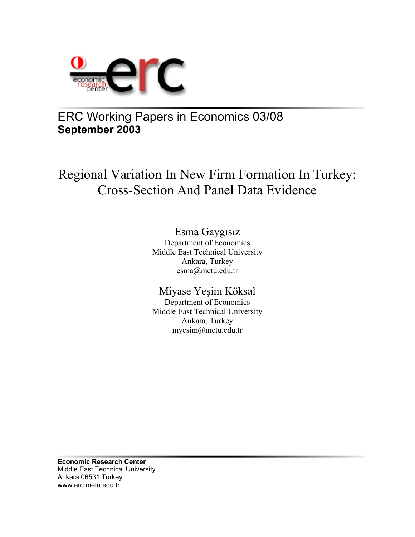

# ERC Working Papers in Economics 03/08 **September 2003**

# Regional Variation In New Firm Formation In Turkey: Cross-Section And Panel Data Evidence

# Esma Gaygısız

Department of Economics Middle East Technical University Ankara, Turkey esma@metu.edu.tr

# Miyase Yeşim Köksal

Department of Economics Middle East Technical University Ankara, Turkey myesim@metu.edu.tr

**Economic Research Center**  Middle East Technical University Ankara 06531 Turkey www.erc.metu.edu.tr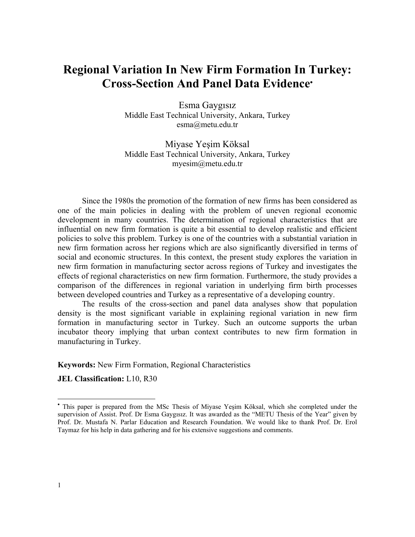# **Regional Variation In New Firm Formation In Turkey: Cross-Section And Panel Data Evidence**•

Esma Gaygısız Middle East Technical University, Ankara, Turkey esma@metu.edu.tr

Miyase Yeşim Köksal Middle East Technical University, Ankara, Turkey myesim@metu.edu.tr

Since the 1980s the promotion of the formation of new firms has been considered as one of the main policies in dealing with the problem of uneven regional economic development in many countries. The determination of regional characteristics that are influential on new firm formation is quite a bit essential to develop realistic and efficient policies to solve this problem. Turkey is one of the countries with a substantial variation in new firm formation across her regions which are also significantly diversified in terms of social and economic structures. In this context, the present study explores the variation in new firm formation in manufacturing sector across regions of Turkey and investigates the effects of regional characteristics on new firm formation. Furthermore, the study provides a comparison of the differences in regional variation in underlying firm birth processes between developed countries and Turkey as a representative of a developing country.

The results of the cross-section and panel data analyses show that population density is the most significant variable in explaining regional variation in new firm formation in manufacturing sector in Turkey. Such an outcome supports the urban incubator theory implying that urban context contributes to new firm formation in manufacturing in Turkey.

**Keywords:** New Firm Formation, Regional Characteristics

**JEL Classification:** L10, R30

-

<sup>•</sup> This paper is prepared from the MSc Thesis of Miyase Yeşim Köksal, which she completed under the supervision of Assist. Prof. Dr Esma Gaygısız. It was awarded as the "METU Thesis of the Year" given by Prof. Dr. Mustafa N. Parlar Education and Research Foundation. We would like to thank Prof. Dr. Erol Taymaz for his help in data gathering and for his extensive suggestions and comments.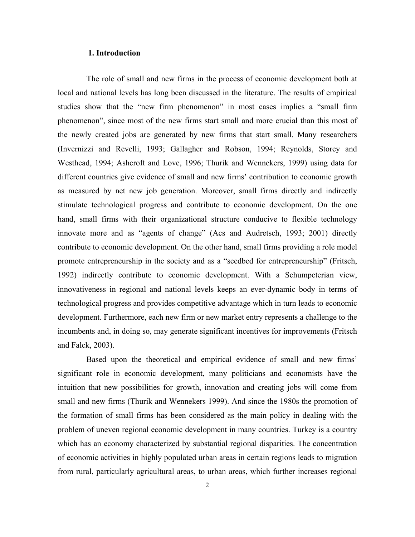### **1. Introduction**

The role of small and new firms in the process of economic development both at local and national levels has long been discussed in the literature. The results of empirical studies show that the "new firm phenomenon" in most cases implies a "small firm phenomenon", since most of the new firms start small and more crucial than this most of the newly created jobs are generated by new firms that start small. Many researchers (Invernizzi and Revelli, 1993; Gallagher and Robson, 1994; Reynolds, Storey and Westhead, 1994; Ashcroft and Love, 1996; Thurik and Wennekers, 1999) using data for different countries give evidence of small and new firms' contribution to economic growth as measured by net new job generation. Moreover, small firms directly and indirectly stimulate technological progress and contribute to economic development. On the one hand, small firms with their organizational structure conducive to flexible technology innovate more and as "agents of change" (Acs and Audretsch, 1993; 2001) directly contribute to economic development. On the other hand, small firms providing a role model promote entrepreneurship in the society and as a "seedbed for entrepreneurship" (Fritsch, 1992) indirectly contribute to economic development. With a Schumpeterian view, innovativeness in regional and national levels keeps an ever-dynamic body in terms of technological progress and provides competitive advantage which in turn leads to economic development. Furthermore, each new firm or new market entry represents a challenge to the incumbents and, in doing so, may generate significant incentives for improvements (Fritsch and Falck, 2003).

Based upon the theoretical and empirical evidence of small and new firms' significant role in economic development, many politicians and economists have the intuition that new possibilities for growth, innovation and creating jobs will come from small and new firms (Thurik and Wennekers 1999). And since the 1980s the promotion of the formation of small firms has been considered as the main policy in dealing with the problem of uneven regional economic development in many countries. Turkey is a country which has an economy characterized by substantial regional disparities. The concentration of economic activities in highly populated urban areas in certain regions leads to migration from rural, particularly agricultural areas, to urban areas, which further increases regional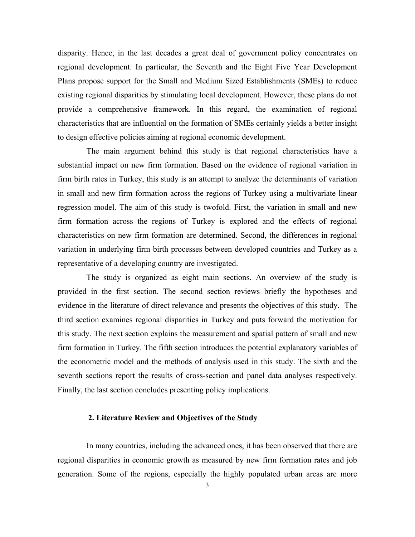disparity. Hence, in the last decades a great deal of government policy concentrates on regional development. In particular, the Seventh and the Eight Five Year Development Plans propose support for the Small and Medium Sized Establishments (SMEs) to reduce existing regional disparities by stimulating local development. However, these plans do not provide a comprehensive framework. In this regard, the examination of regional characteristics that are influential on the formation of SMEs certainly yields a better insight to design effective policies aiming at regional economic development.

The main argument behind this study is that regional characteristics have a substantial impact on new firm formation. Based on the evidence of regional variation in firm birth rates in Turkey, this study is an attempt to analyze the determinants of variation in small and new firm formation across the regions of Turkey using a multivariate linear regression model. The aim of this study is twofold. First, the variation in small and new firm formation across the regions of Turkey is explored and the effects of regional characteristics on new firm formation are determined. Second, the differences in regional variation in underlying firm birth processes between developed countries and Turkey as a representative of a developing country are investigated.

The study is organized as eight main sections. An overview of the study is provided in the first section. The second section reviews briefly the hypotheses and evidence in the literature of direct relevance and presents the objectives of this study. The third section examines regional disparities in Turkey and puts forward the motivation for this study. The next section explains the measurement and spatial pattern of small and new firm formation in Turkey. The fifth section introduces the potential explanatory variables of the econometric model and the methods of analysis used in this study. The sixth and the seventh sections report the results of cross-section and panel data analyses respectively. Finally, the last section concludes presenting policy implications.

### **2. Literature Review and Objectives of the Study**

In many countries, including the advanced ones, it has been observed that there are regional disparities in economic growth as measured by new firm formation rates and job generation. Some of the regions, especially the highly populated urban areas are more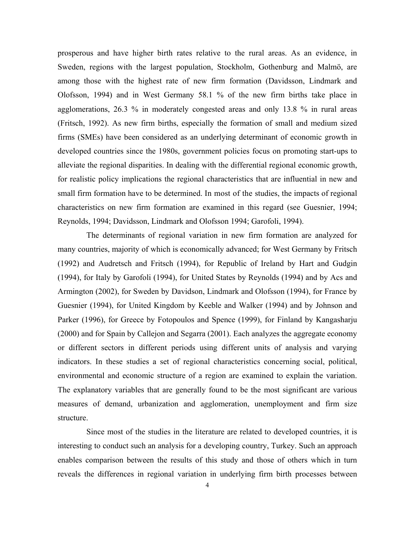prosperous and have higher birth rates relative to the rural areas. As an evidence, in Sweden, regions with the largest population, Stockholm, Gothenburg and Malmö, are among those with the highest rate of new firm formation (Davidsson, Lindmark and Olofsson, 1994) and in West Germany 58.1 % of the new firm births take place in agglomerations, 26.3 % in moderately congested areas and only 13.8 % in rural areas (Fritsch, 1992). As new firm births, especially the formation of small and medium sized firms (SMEs) have been considered as an underlying determinant of economic growth in developed countries since the 1980s, government policies focus on promoting start-ups to alleviate the regional disparities. In dealing with the differential regional economic growth, for realistic policy implications the regional characteristics that are influential in new and small firm formation have to be determined. In most of the studies, the impacts of regional characteristics on new firm formation are examined in this regard (see Guesnier, 1994; Reynolds, 1994; Davidsson, Lindmark and Olofsson 1994; Garofoli, 1994).

The determinants of regional variation in new firm formation are analyzed for many countries, majority of which is economically advanced; for West Germany by Fritsch (1992) and Audretsch and Fritsch (1994), for Republic of Ireland by Hart and Gudgin (1994), for Italy by Garofoli (1994), for United States by Reynolds (1994) and by Acs and Armington (2002), for Sweden by Davidson, Lindmark and Olofsson (1994), for France by Guesnier (1994), for United Kingdom by Keeble and Walker (1994) and by Johnson and Parker (1996), for Greece by Fotopoulos and Spence (1999), for Finland by Kangasharju (2000) and for Spain by Callejon and Segarra (2001). Each analyzes the aggregate economy or different sectors in different periods using different units of analysis and varying indicators. In these studies a set of regional characteristics concerning social, political, environmental and economic structure of a region are examined to explain the variation. The explanatory variables that are generally found to be the most significant are various measures of demand, urbanization and agglomeration, unemployment and firm size structure.

Since most of the studies in the literature are related to developed countries, it is interesting to conduct such an analysis for a developing country, Turkey. Such an approach enables comparison between the results of this study and those of others which in turn reveals the differences in regional variation in underlying firm birth processes between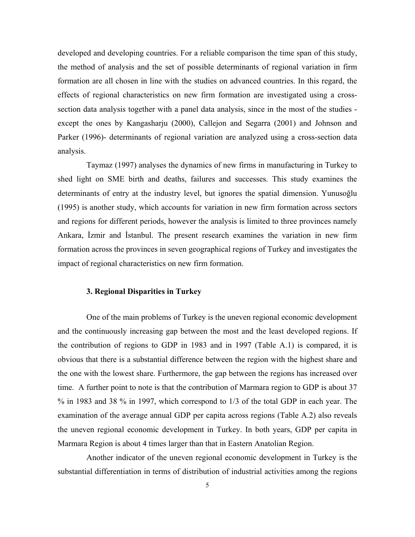developed and developing countries. For a reliable comparison the time span of this study, the method of analysis and the set of possible determinants of regional variation in firm formation are all chosen in line with the studies on advanced countries. In this regard, the effects of regional characteristics on new firm formation are investigated using a crosssection data analysis together with a panel data analysis, since in the most of the studies except the ones by Kangasharju (2000), Callejon and Segarra (2001) and Johnson and Parker (1996)- determinants of regional variation are analyzed using a cross-section data analysis.

Taymaz (1997) analyses the dynamics of new firms in manufacturing in Turkey to shed light on SME birth and deaths, failures and successes. This study examines the determinants of entry at the industry level, but ignores the spatial dimension. Yunusoğlu (1995) is another study, which accounts for variation in new firm formation across sectors and regions for different periods, however the analysis is limited to three provinces namely Ankara, İzmir and İstanbul. The present research examines the variation in new firm formation across the provinces in seven geographical regions of Turkey and investigates the impact of regional characteristics on new firm formation.

### **3. Regional Disparities in Turkey**

One of the main problems of Turkey is the uneven regional economic development and the continuously increasing gap between the most and the least developed regions. If the contribution of regions to GDP in 1983 and in 1997 (Table A.1) is compared, it is obvious that there is a substantial difference between the region with the highest share and the one with the lowest share. Furthermore, the gap between the regions has increased over time. A further point to note is that the contribution of Marmara region to GDP is about 37 % in 1983 and 38 % in 1997, which correspond to 1/3 of the total GDP in each year. The examination of the average annual GDP per capita across regions (Table A.2) also reveals the uneven regional economic development in Turkey. In both years, GDP per capita in Marmara Region is about 4 times larger than that in Eastern Anatolian Region.

Another indicator of the uneven regional economic development in Turkey is the substantial differentiation in terms of distribution of industrial activities among the regions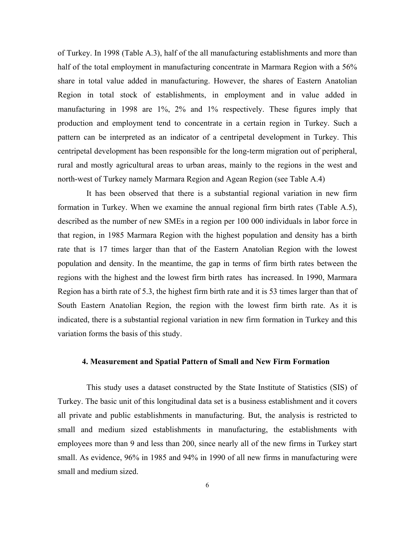of Turkey. In 1998 (Table A.3), half of the all manufacturing establishments and more than half of the total employment in manufacturing concentrate in Marmara Region with a 56% share in total value added in manufacturing. However, the shares of Eastern Anatolian Region in total stock of establishments, in employment and in value added in manufacturing in 1998 are 1%, 2% and 1% respectively. These figures imply that production and employment tend to concentrate in a certain region in Turkey. Such a pattern can be interpreted as an indicator of a centripetal development in Turkey. This centripetal development has been responsible for the long-term migration out of peripheral, rural and mostly agricultural areas to urban areas, mainly to the regions in the west and north-west of Turkey namely Marmara Region and Agean Region (see Table A.4)

It has been observed that there is a substantial regional variation in new firm formation in Turkey. When we examine the annual regional firm birth rates (Table A.5), described as the number of new SMEs in a region per 100 000 individuals in labor force in that region, in 1985 Marmara Region with the highest population and density has a birth rate that is 17 times larger than that of the Eastern Anatolian Region with the lowest population and density. In the meantime, the gap in terms of firm birth rates between the regions with the highest and the lowest firm birth rates has increased. In 1990, Marmara Region has a birth rate of 5.3, the highest firm birth rate and it is 53 times larger than that of South Eastern Anatolian Region, the region with the lowest firm birth rate. As it is indicated, there is a substantial regional variation in new firm formation in Turkey and this variation forms the basis of this study.

### **4. Measurement and Spatial Pattern of Small and New Firm Formation**

This study uses a dataset constructed by the State Institute of Statistics (SIS) of Turkey. The basic unit of this longitudinal data set is a business establishment and it covers all private and public establishments in manufacturing. But, the analysis is restricted to small and medium sized establishments in manufacturing, the establishments with employees more than 9 and less than 200, since nearly all of the new firms in Turkey start small. As evidence, 96% in 1985 and 94% in 1990 of all new firms in manufacturing were small and medium sized.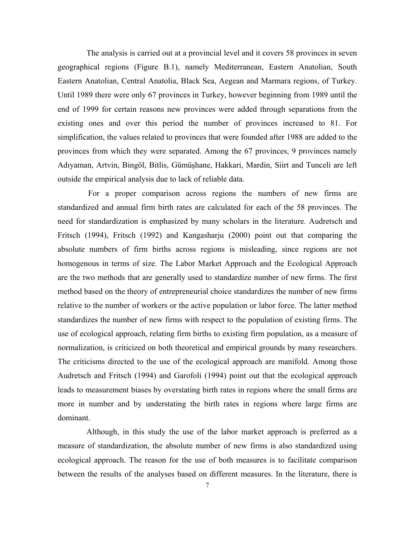The analysis is carried out at a provincial level and it covers 58 provinces in seven geographical regions (Figure B.1), namely Mediterranean, Eastern Anatolian, South Eastern Anatolian, Central Anatolia, Black Sea, Aegean and Marmara regions, of Turkey. Until 1989 there were only 67 provinces in Turkey, however beginning from 1989 until the end of 1999 for certain reasons new provinces were added through separations from the existing ones and over this period the number of provinces increased to 81. For simplification, the values related to provinces that were founded after 1988 are added to the provinces from which they were separated. Among the 67 provinces, 9 provinces namely Adıyaman, Artvin, Bingöl, Bitlis, Gümüşhane, Hakkari, Mardin, Siirt and Tunceli are left outside the empirical analysis due to lack of reliable data.

For a proper comparison across regions the numbers of new firms are standardized and annual firm birth rates are calculated for each of the 58 provinces. The need for standardization is emphasized by many scholars in the literature. Audretsch and Fritsch (1994), Fritsch (1992) and Kangasharju (2000) point out that comparing the absolute numbers of firm births across regions is misleading, since regions are not homogenous in terms of size. The Labor Market Approach and the Ecological Approach are the two methods that are generally used to standardize number of new firms. The first method based on the theory of entrepreneurial choice standardizes the number of new firms relative to the number of workers or the active population or labor force. The latter method standardizes the number of new firms with respect to the population of existing firms. The use of ecological approach, relating firm births to existing firm population, as a measure of normalization, is criticized on both theoretical and empirical grounds by many researchers. The criticisms directed to the use of the ecological approach are manifold. Among those Audretsch and Fritsch (1994) and Garofoli (1994) point out that the ecological approach leads to measurement biases by overstating birth rates in regions where the small firms are more in number and by understating the birth rates in regions where large firms are dominant.

Although, in this study the use of the labor market approach is preferred as a measure of standardization, the absolute number of new firms is also standardized using ecological approach. The reason for the use of both measures is to facilitate comparison between the results of the analyses based on different measures. In the literature, there is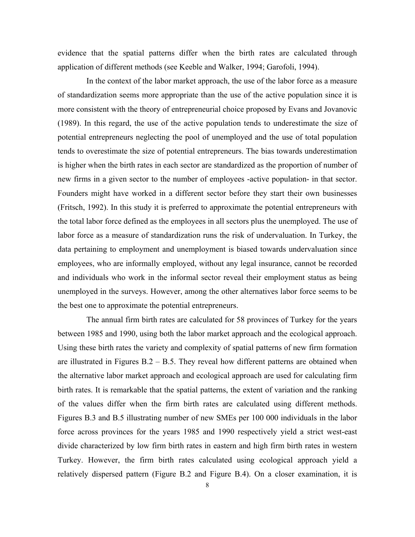evidence that the spatial patterns differ when the birth rates are calculated through application of different methods (see Keeble and Walker, 1994; Garofoli, 1994).

In the context of the labor market approach, the use of the labor force as a measure of standardization seems more appropriate than the use of the active population since it is more consistent with the theory of entrepreneurial choice proposed by Evans and Jovanovic (1989). In this regard, the use of the active population tends to underestimate the size of potential entrepreneurs neglecting the pool of unemployed and the use of total population tends to overestimate the size of potential entrepreneurs. The bias towards underestimation is higher when the birth rates in each sector are standardized as the proportion of number of new firms in a given sector to the number of employees -active population- in that sector. Founders might have worked in a different sector before they start their own businesses (Fritsch, 1992). In this study it is preferred to approximate the potential entrepreneurs with the total labor force defined as the employees in all sectors plus the unemployed. The use of labor force as a measure of standardization runs the risk of undervaluation. In Turkey, the data pertaining to employment and unemployment is biased towards undervaluation since employees, who are informally employed, without any legal insurance, cannot be recorded and individuals who work in the informal sector reveal their employment status as being unemployed in the surveys. However, among the other alternatives labor force seems to be the best one to approximate the potential entrepreneurs.

The annual firm birth rates are calculated for 58 provinces of Turkey for the years between 1985 and 1990, using both the labor market approach and the ecological approach. Using these birth rates the variety and complexity of spatial patterns of new firm formation are illustrated in Figures  $B.2 - B.5$ . They reveal how different patterns are obtained when the alternative labor market approach and ecological approach are used for calculating firm birth rates. It is remarkable that the spatial patterns, the extent of variation and the ranking of the values differ when the firm birth rates are calculated using different methods. Figures B.3 and B.5 illustrating number of new SMEs per 100 000 individuals in the labor force across provinces for the years 1985 and 1990 respectively yield a strict west-east divide characterized by low firm birth rates in eastern and high firm birth rates in western Turkey. However, the firm birth rates calculated using ecological approach yield a relatively dispersed pattern (Figure B.2 and Figure B.4). On a closer examination, it is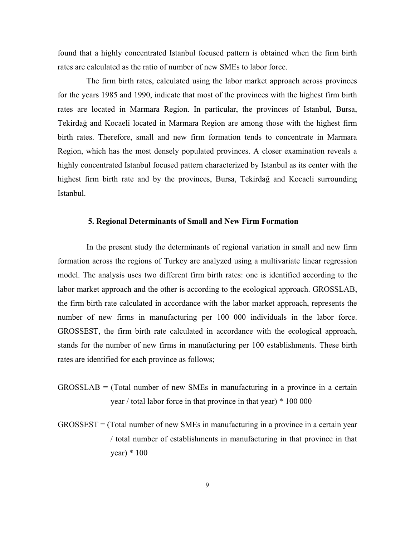found that a highly concentrated Istanbul focused pattern is obtained when the firm birth rates are calculated as the ratio of number of new SMEs to labor force.

The firm birth rates, calculated using the labor market approach across provinces for the years 1985 and 1990, indicate that most of the provinces with the highest firm birth rates are located in Marmara Region. In particular, the provinces of Istanbul, Bursa, Tekirdağ and Kocaeli located in Marmara Region are among those with the highest firm birth rates. Therefore, small and new firm formation tends to concentrate in Marmara Region, which has the most densely populated provinces. A closer examination reveals a highly concentrated Istanbul focused pattern characterized by Istanbul as its center with the highest firm birth rate and by the provinces, Bursa, Tekirdağ and Kocaeli surrounding Istanbul.

### **5. Regional Determinants of Small and New Firm Formation**

In the present study the determinants of regional variation in small and new firm formation across the regions of Turkey are analyzed using a multivariate linear regression model. The analysis uses two different firm birth rates: one is identified according to the labor market approach and the other is according to the ecological approach. GROSSLAB, the firm birth rate calculated in accordance with the labor market approach, represents the number of new firms in manufacturing per 100 000 individuals in the labor force. GROSSEST, the firm birth rate calculated in accordance with the ecological approach, stands for the number of new firms in manufacturing per 100 establishments. These birth rates are identified for each province as follows;

- GROSSLAB = (Total number of new SMEs in manufacturing in a province in a certain year / total labor force in that province in that year) \* 100 000
- GROSSEST = (Total number of new SMEs in manufacturing in a province in a certain year / total number of establishments in manufacturing in that province in that year)  $*100$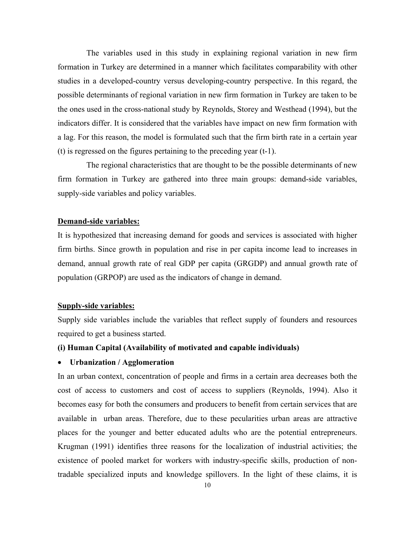The variables used in this study in explaining regional variation in new firm formation in Turkey are determined in a manner which facilitates comparability with other studies in a developed-country versus developing-country perspective. In this regard, the possible determinants of regional variation in new firm formation in Turkey are taken to be the ones used in the cross-national study by Reynolds, Storey and Westhead (1994), but the indicators differ. It is considered that the variables have impact on new firm formation with a lag. For this reason, the model is formulated such that the firm birth rate in a certain year (t) is regressed on the figures pertaining to the preceding year (t-1).

The regional characteristics that are thought to be the possible determinants of new firm formation in Turkey are gathered into three main groups: demand-side variables, supply-side variables and policy variables.

### **Demand-side variables:**

It is hypothesized that increasing demand for goods and services is associated with higher firm births. Since growth in population and rise in per capita income lead to increases in demand, annual growth rate of real GDP per capita (GRGDP) and annual growth rate of population (GRPOP) are used as the indicators of change in demand.

### **Supply-side variables:**

Supply side variables include the variables that reflect supply of founders and resources required to get a business started.

### **(i) Human Capital (Availability of motivated and capable individuals)**

### • **Urbanization / Agglomeration**

In an urban context, concentration of people and firms in a certain area decreases both the cost of access to customers and cost of access to suppliers (Reynolds, 1994). Also it becomes easy for both the consumers and producers to benefit from certain services that are available in urban areas. Therefore, due to these pecularities urban areas are attractive places for the younger and better educated adults who are the potential entrepreneurs. Krugman (1991) identifies three reasons for the localization of industrial activities; the existence of pooled market for workers with industry-specific skills, production of nontradable specialized inputs and knowledge spillovers. In the light of these claims, it is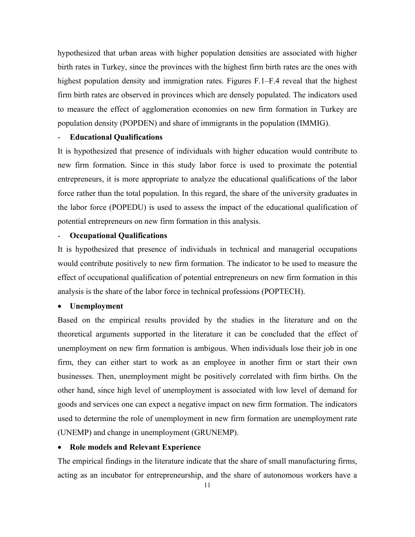hypothesized that urban areas with higher population densities are associated with higher birth rates in Turkey, since the provinces with the highest firm birth rates are the ones with highest population density and immigration rates. Figures F.1–F.4 reveal that the highest firm birth rates are observed in provinces which are densely populated. The indicators used to measure the effect of agglomeration economies on new firm formation in Turkey are population density (POPDEN) and share of immigrants in the population (IMMIG).

### - **Educational Qualifications**

It is hypothesized that presence of individuals with higher education would contribute to new firm formation. Since in this study labor force is used to proximate the potential entrepreneurs, it is more appropriate to analyze the educational qualifications of the labor force rather than the total population. In this regard, the share of the university graduates in the labor force (POPEDU) is used to assess the impact of the educational qualification of potential entrepreneurs on new firm formation in this analysis.

### - **Occupational Qualifications**

It is hypothesized that presence of individuals in technical and managerial occupations would contribute positively to new firm formation. The indicator to be used to measure the effect of occupational qualification of potential entrepreneurs on new firm formation in this analysis is the share of the labor force in technical professions (POPTECH).

### • **Unemployment**

Based on the empirical results provided by the studies in the literature and on the theoretical arguments supported in the literature it can be concluded that the effect of unemployment on new firm formation is ambigous. When individuals lose their job in one firm, they can either start to work as an employee in another firm or start their own businesses. Then, unemployment might be positively correlated with firm births. On the other hand, since high level of unemployment is associated with low level of demand for goods and services one can expect a negative impact on new firm formation. The indicators used to determine the role of unemployment in new firm formation are unemployment rate (UNEMP) and change in unemployment (GRUNEMP).

### • **Role models and Relevant Experience**

The empirical findings in the literature indicate that the share of small manufacturing firms, acting as an incubator for entrepreneurship, and the share of autonomous workers have a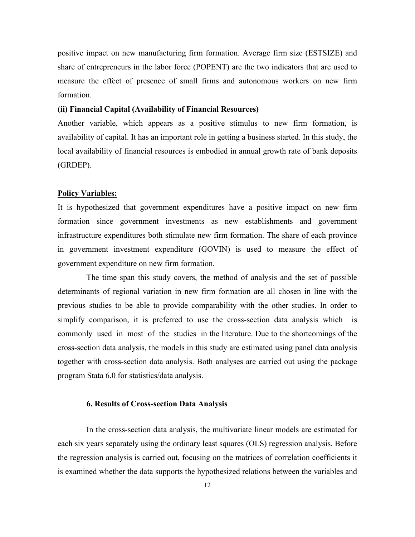positive impact on new manufacturing firm formation. Average firm size (ESTSIZE) and share of entrepreneurs in the labor force (POPENT) are the two indicators that are used to measure the effect of presence of small firms and autonomous workers on new firm formation.

### **(ii) Financial Capital (Availability of Financial Resources)**

Another variable, which appears as a positive stimulus to new firm formation, is availability of capital. It has an important role in getting a business started. In this study, the local availability of financial resources is embodied in annual growth rate of bank deposits (GRDEP).

### **Policy Variables:**

It is hypothesized that government expenditures have a positive impact on new firm formation since government investments as new establishments and government infrastructure expenditures both stimulate new firm formation. The share of each province in government investment expenditure (GOVIN) is used to measure the effect of government expenditure on new firm formation.

The time span this study covers, the method of analysis and the set of possible determinants of regional variation in new firm formation are all chosen in line with the previous studies to be able to provide comparability with the other studies. In order to simplify comparison, it is preferred to use the cross-section data analysis which is commonly used in most of the studies in the literature. Due to the shortcomings of the cross-section data analysis, the models in this study are estimated using panel data analysis together with cross-section data analysis. Both analyses are carried out using the package program Stata 6.0 for statistics/data analysis.

### **6. Results of Cross-section Data Analysis**

In the cross-section data analysis, the multivariate linear models are estimated for each six years separately using the ordinary least squares (OLS) regression analysis. Before the regression analysis is carried out, focusing on the matrices of correlation coefficients it is examined whether the data supports the hypothesized relations between the variables and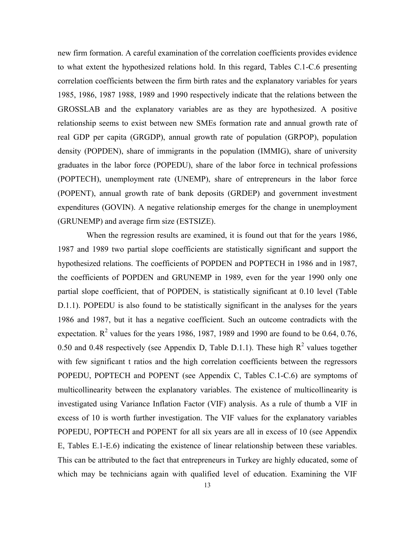new firm formation. A careful examination of the correlation coefficients provides evidence to what extent the hypothesized relations hold. In this regard, Tables C.1-C.6 presenting correlation coefficients between the firm birth rates and the explanatory variables for years 1985, 1986, 1987 1988, 1989 and 1990 respectively indicate that the relations between the GROSSLAB and the explanatory variables are as they are hypothesized. A positive relationship seems to exist between new SMEs formation rate and annual growth rate of real GDP per capita (GRGDP), annual growth rate of population (GRPOP), population density (POPDEN), share of immigrants in the population (IMMIG), share of university graduates in the labor force (POPEDU), share of the labor force in technical professions (POPTECH), unemployment rate (UNEMP), share of entrepreneurs in the labor force (POPENT), annual growth rate of bank deposits (GRDEP) and government investment expenditures (GOVIN). A negative relationship emerges for the change in unemployment (GRUNEMP) and average firm size (ESTSIZE).

When the regression results are examined, it is found out that for the years 1986, 1987 and 1989 two partial slope coefficients are statistically significant and support the hypothesized relations. The coefficients of POPDEN and POPTECH in 1986 and in 1987, the coefficients of POPDEN and GRUNEMP in 1989, even for the year 1990 only one partial slope coefficient, that of POPDEN, is statistically significant at 0.10 level (Table D.1.1). POPEDU is also found to be statistically significant in the analyses for the years 1986 and 1987, but it has a negative coefficient. Such an outcome contradicts with the expectation.  $\mathbb{R}^2$  values for the years 1986, 1987, 1989 and 1990 are found to be 0.64, 0.76, 0.50 and 0.48 respectively (see Appendix D, Table D.1.1). These high  $R^2$  values together with few significant t ratios and the high correlation coefficients between the regressors POPEDU, POPTECH and POPENT (see Appendix C, Tables C.1-C.6) are symptoms of multicollinearity between the explanatory variables. The existence of multicollinearity is investigated using Variance Inflation Factor (VIF) analysis. As a rule of thumb a VIF in excess of 10 is worth further investigation. The VIF values for the explanatory variables POPEDU, POPTECH and POPENT for all six years are all in excess of 10 (see Appendix E, Tables E.1-E.6) indicating the existence of linear relationship between these variables. This can be attributed to the fact that entrepreneurs in Turkey are highly educated, some of which may be technicians again with qualified level of education. Examining the VIF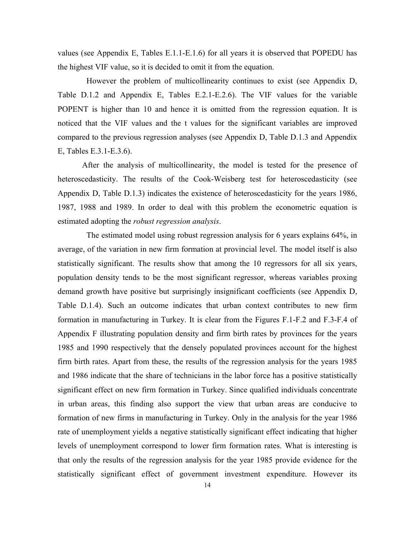values (see Appendix E, Tables E.1.1-E.1.6) for all years it is observed that POPEDU has the highest VIF value, so it is decided to omit it from the equation.

However the problem of multicollinearity continues to exist (see Appendix D, Table D.1.2 and Appendix E, Tables E.2.1-E.2.6). The VIF values for the variable POPENT is higher than 10 and hence it is omitted from the regression equation. It is noticed that the VIF values and the t values for the significant variables are improved compared to the previous regression analyses (see Appendix D, Table D.1.3 and Appendix E, Tables E.3.1-E.3.6).

After the analysis of multicollinearity, the model is tested for the presence of heteroscedasticity. The results of the Cook-Weisberg test for heteroscedasticity (see Appendix D, Table D.1.3) indicates the existence of heteroscedasticity for the years 1986, 1987, 1988 and 1989. In order to deal with this problem the econometric equation is estimated adopting the *robust regression analysis*.

The estimated model using robust regression analysis for 6 years explains 64%, in average, of the variation in new firm formation at provincial level. The model itself is also statistically significant. The results show that among the 10 regressors for all six years, population density tends to be the most significant regressor, whereas variables proxing demand growth have positive but surprisingly insignificant coefficients (see Appendix D, Table D.1.4). Such an outcome indicates that urban context contributes to new firm formation in manufacturing in Turkey. It is clear from the Figures F.1-F.2 and F.3-F.4 of Appendix F illustrating population density and firm birth rates by provinces for the years 1985 and 1990 respectively that the densely populated provinces account for the highest firm birth rates. Apart from these, the results of the regression analysis for the years 1985 and 1986 indicate that the share of technicians in the labor force has a positive statistically significant effect on new firm formation in Turkey. Since qualified individuals concentrate in urban areas, this finding also support the view that urban areas are conducive to formation of new firms in manufacturing in Turkey. Only in the analysis for the year 1986 rate of unemployment yields a negative statistically significant effect indicating that higher levels of unemployment correspond to lower firm formation rates. What is interesting is that only the results of the regression analysis for the year 1985 provide evidence for the statistically significant effect of government investment expenditure. However its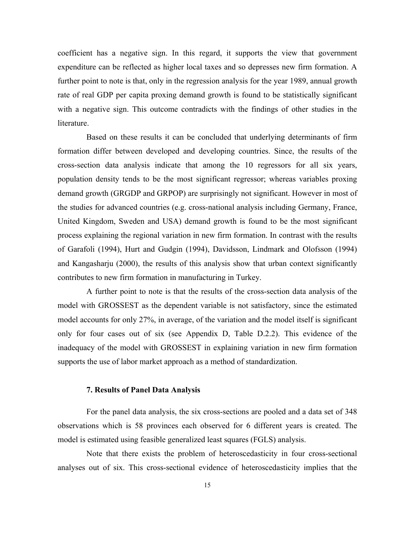coefficient has a negative sign. In this regard, it supports the view that government expenditure can be reflected as higher local taxes and so depresses new firm formation. A further point to note is that, only in the regression analysis for the year 1989, annual growth rate of real GDP per capita proxing demand growth is found to be statistically significant with a negative sign. This outcome contradicts with the findings of other studies in the literature.

Based on these results it can be concluded that underlying determinants of firm formation differ between developed and developing countries. Since, the results of the cross-section data analysis indicate that among the 10 regressors for all six years, population density tends to be the most significant regressor; whereas variables proxing demand growth (GRGDP and GRPOP) are surprisingly not significant. However in most of the studies for advanced countries (e.g. cross-national analysis including Germany, France, United Kingdom, Sweden and USA) demand growth is found to be the most significant process explaining the regional variation in new firm formation. In contrast with the results of Garafoli (1994), Hurt and Gudgin (1994), Davidsson, Lindmark and Olofsson (1994) and Kangasharju (2000), the results of this analysis show that urban context significantly contributes to new firm formation in manufacturing in Turkey.

A further point to note is that the results of the cross-section data analysis of the model with GROSSEST as the dependent variable is not satisfactory, since the estimated model accounts for only 27%, in average, of the variation and the model itself is significant only for four cases out of six (see Appendix D, Table D.2.2). This evidence of the inadequacy of the model with GROSSEST in explaining variation in new firm formation supports the use of labor market approach as a method of standardization.

### **7. Results of Panel Data Analysis**

For the panel data analysis, the six cross-sections are pooled and a data set of 348 observations which is 58 provinces each observed for 6 different years is created. The model is estimated using feasible generalized least squares (FGLS) analysis.

Note that there exists the problem of heteroscedasticity in four cross-sectional analyses out of six. This cross-sectional evidence of heteroscedasticity implies that the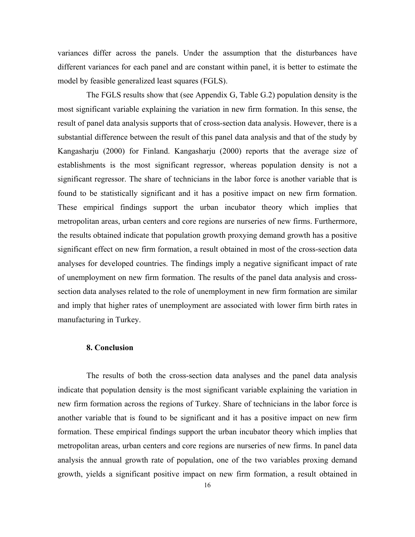variances differ across the panels. Under the assumption that the disturbances have different variances for each panel and are constant within panel, it is better to estimate the model by feasible generalized least squares (FGLS).

The FGLS results show that (see Appendix G, Table G.2) population density is the most significant variable explaining the variation in new firm formation. In this sense, the result of panel data analysis supports that of cross-section data analysis. However, there is a substantial difference between the result of this panel data analysis and that of the study by Kangasharju (2000) for Finland. Kangasharju (2000) reports that the average size of establishments is the most significant regressor, whereas population density is not a significant regressor. The share of technicians in the labor force is another variable that is found to be statistically significant and it has a positive impact on new firm formation. These empirical findings support the urban incubator theory which implies that metropolitan areas, urban centers and core regions are nurseries of new firms. Furthermore, the results obtained indicate that population growth proxying demand growth has a positive significant effect on new firm formation, a result obtained in most of the cross-section data analyses for developed countries. The findings imply a negative significant impact of rate of unemployment on new firm formation. The results of the panel data analysis and crosssection data analyses related to the role of unemployment in new firm formation are similar and imply that higher rates of unemployment are associated with lower firm birth rates in manufacturing in Turkey.

### **8. Conclusion**

The results of both the cross-section data analyses and the panel data analysis indicate that population density is the most significant variable explaining the variation in new firm formation across the regions of Turkey. Share of technicians in the labor force is another variable that is found to be significant and it has a positive impact on new firm formation. These empirical findings support the urban incubator theory which implies that metropolitan areas, urban centers and core regions are nurseries of new firms. In panel data analysis the annual growth rate of population, one of the two variables proxing demand growth, yields a significant positive impact on new firm formation, a result obtained in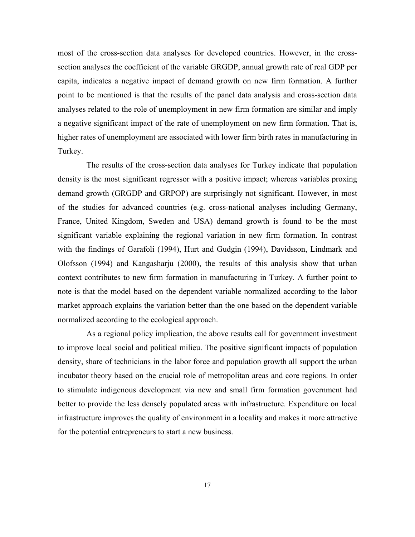most of the cross-section data analyses for developed countries. However, in the crosssection analyses the coefficient of the variable GRGDP, annual growth rate of real GDP per capita, indicates a negative impact of demand growth on new firm formation. A further point to be mentioned is that the results of the panel data analysis and cross-section data analyses related to the role of unemployment in new firm formation are similar and imply a negative significant impact of the rate of unemployment on new firm formation. That is, higher rates of unemployment are associated with lower firm birth rates in manufacturing in Turkey.

The results of the cross-section data analyses for Turkey indicate that population density is the most significant regressor with a positive impact; whereas variables proxing demand growth (GRGDP and GRPOP) are surprisingly not significant. However, in most of the studies for advanced countries (e.g. cross-national analyses including Germany, France, United Kingdom, Sweden and USA) demand growth is found to be the most significant variable explaining the regional variation in new firm formation. In contrast with the findings of Garafoli (1994), Hurt and Gudgin (1994), Davidsson, Lindmark and Olofsson (1994) and Kangasharju (2000), the results of this analysis show that urban context contributes to new firm formation in manufacturing in Turkey. A further point to note is that the model based on the dependent variable normalized according to the labor market approach explains the variation better than the one based on the dependent variable normalized according to the ecological approach.

As a regional policy implication, the above results call for government investment to improve local social and political milieu. The positive significant impacts of population density, share of technicians in the labor force and population growth all support the urban incubator theory based on the crucial role of metropolitan areas and core regions. In order to stimulate indigenous development via new and small firm formation government had better to provide the less densely populated areas with infrastructure. Expenditure on local infrastructure improves the quality of environment in a locality and makes it more attractive for the potential entrepreneurs to start a new business.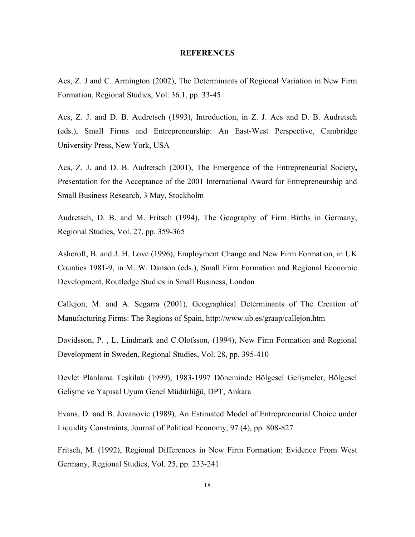### **REFERENCES**

Acs, Z. J and C. Armington (2002), The Determinants of Regional Variation in New Firm Formation, Regional Studies, Vol. 36.1, pp. 33-45

Acs, Z. J. and D. B. Audretsch (1993), Introduction, in Z. J. Acs and D. B. Audretsch (eds.), Small Firms and Entrepreneurship: An East-West Perspective, Cambridge University Press, New York, USA

Acs, Z. J. and D. B. Audretsch (2001), The Emergence of the Entrepreneurial Society**,**  Presentation for the Acceptance of the 2001 International Award for Entrepreneurship and Small Business Research, 3 May, Stockholm

Audretsch, D. B. and M. Fritsch (1994), The Geography of Firm Births in Germany, Regional Studies, Vol. 27, pp. 359-365

Ashcroft, B. and J. H. Love (1996), Employment Change and New Firm Formation, in UK Counties 1981-9, in M. W. Danson (eds.), Small Firm Formation and Regional Economic Development, Routledge Studies in Small Business, London

Callejon, M. and A. Segarra (2001), Geographical Determinants of The Creation of Manufacturing Firms: The Regions of Spain, http://www.ub.es/graap/callejon.htm

Davidsson, P. , L. Lindmark and C.Olofsson, (1994), New Firm Formation and Regional Development in Sweden, Regional Studies, Vol. 28, pp. 395-410

Devlet Planlama Teşkilatı (1999), 1983-1997 Döneminde Bölgesel Gelişmeler, Bölgesel Gelişme ve Yapısal Uyum Genel Müdürlüğü, DPT, Ankara

Evans, D. and B. Jovanovic (1989), An Estimated Model of Entrepreneurial Choice under Liquidity Constraints, Journal of Political Economy, 97 (4), pp. 808-827

Fritsch, M. (1992), Regional Differences in New Firm Formation: Evidence From West Germany, Regional Studies, Vol. 25, pp. 233-241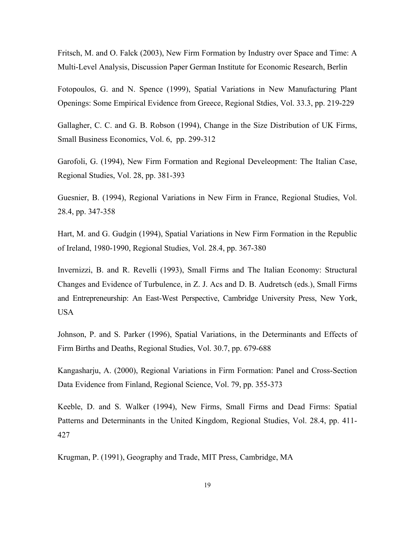Fritsch, M. and O. Falck (2003), New Firm Formation by Industry over Space and Time: A Multi-Level Analysis, Discussion Paper German Institute for Economic Research, Berlin

Fotopoulos, G. and N. Spence (1999), Spatial Variations in New Manufacturing Plant Openings: Some Empirical Evidence from Greece, Regional Stdies, Vol. 33.3, pp. 219-229

Gallagher, C. C. and G. B. Robson (1994), Change in the Size Distribution of UK Firms, Small Business Economics, Vol. 6, pp. 299-312

Garofoli, G. (1994), New Firm Formation and Regional Develeopment: The Italian Case, Regional Studies, Vol. 28, pp. 381-393

Guesnier, B. (1994), Regional Variations in New Firm in France, Regional Studies, Vol. 28.4, pp. 347-358

Hart, M. and G. Gudgin (1994), Spatial Variations in New Firm Formation in the Republic of Ireland, 1980-1990, Regional Studies, Vol. 28.4, pp. 367-380

Invernizzi, B. and R. Revelli (1993), Small Firms and The Italian Economy: Structural Changes and Evidence of Turbulence, in Z. J. Acs and D. B. Audretsch (eds.), Small Firms and Entrepreneurship: An East-West Perspective, Cambridge University Press, New York, USA

Johnson, P. and S. Parker (1996), Spatial Variations, in the Determinants and Effects of Firm Births and Deaths, Regional Studies, Vol. 30.7, pp. 679-688

Kangasharju, A. (2000), Regional Variations in Firm Formation: Panel and Cross-Section Data Evidence from Finland, Regional Science, Vol. 79, pp. 355-373

Keeble, D. and S. Walker (1994), New Firms, Small Firms and Dead Firms: Spatial Patterns and Determinants in the United Kingdom, Regional Studies, Vol. 28.4, pp. 411- 427

Krugman, P. (1991), Geography and Trade, MIT Press, Cambridge, MA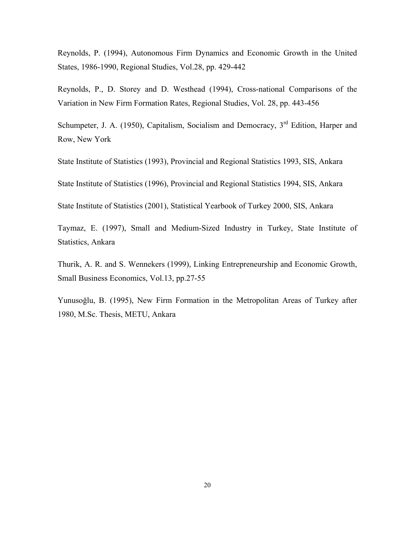Reynolds, P. (1994), Autonomous Firm Dynamics and Economic Growth in the United States, 1986-1990, Regional Studies, Vol.28, pp. 429-442

Reynolds, P., D. Storey and D. Westhead (1994), Cross-national Comparisons of the Variation in New Firm Formation Rates, Regional Studies, Vol. 28, pp. 443-456

Schumpeter, J. A. (1950), Capitalism, Socialism and Democracy, 3<sup>rd</sup> Edition, Harper and Row, New York

State Institute of Statistics (1993), Provincial and Regional Statistics 1993, SIS, Ankara

State Institute of Statistics (1996), Provincial and Regional Statistics 1994, SIS, Ankara

State Institute of Statistics (2001), Statistical Yearbook of Turkey 2000, SIS, Ankara

Taymaz, E. (1997), Small and Medium-Sized Industry in Turkey, State Institute of Statistics, Ankara

Thurik, A. R. and S. Wennekers (1999), Linking Entrepreneurship and Economic Growth, Small Business Economics, Vol.13, pp.27-55

Yunusoğlu, B. (1995), New Firm Formation in the Metropolitan Areas of Turkey after 1980, M.Sc. Thesis, METU, Ankara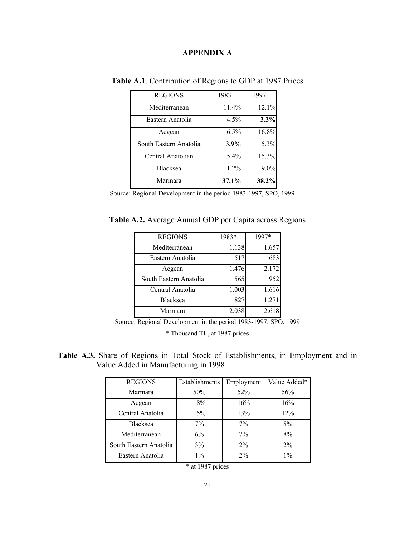### **APPENDIX A**

| <b>REGIONS</b>         | 1983  | 1997  |
|------------------------|-------|-------|
| Mediterranean          | 11.4% | 12.1% |
| Eastern Anatolia       | 4.5%  | 3.3%  |
| Aegean                 | 16.5% | 16.8% |
| South Eastern Anatolia | 3.9%  | 5.3%  |
| Central Anatolian      | 15.4% | 15.3% |
| <b>Blacksea</b>        | 11.2% | 9.0%  |
| Marmara                | 37.1% | 38.2% |

**Table A.1**. Contribution of Regions to GDP at 1987 Prices

Source: Regional Development in the period 1983-1997, SPO, 1999

**Table A.2.** Average Annual GDP per Capita across Regions

| <b>REGIONS</b>         | 1983* | 1997* |
|------------------------|-------|-------|
| Mediterranean          | 1.138 | 1.657 |
| Eastern Anatolia       | 517   | 683   |
| Aegean                 | 1.476 | 2.172 |
| South Eastern Anatolia | 565   | 952   |
| Central Anatolia       | 1.003 | 1.616 |
| <b>Blacksea</b>        | 827   | 1.271 |
| Marmara                | 2.038 | 2.618 |

Source: Regional Development in the period 1983-1997, SPO, 1999

\* Thousand TL, at 1987 prices

**Table A.3.** Share of Regions in Total Stock of Establishments, in Employment and in Value Added in Manufacturing in 1998

| <b>REGIONS</b>         | Establishments | Employment | Value Added* |
|------------------------|----------------|------------|--------------|
| Marmara                | 50%            | 52%        | 56%          |
| Aegean                 | 18%            | 16%        | 16%          |
| Central Anatolia       | 15%            | 13%        | 12%          |
| <b>Blacksea</b>        | $7\%$          | $7\%$      | $5\%$        |
| Mediterranean          | 6%             | $7\%$      | 8%           |
| South Eastern Anatolia | 3%             | 2%         | $2\%$        |
| Eastern Anatolia       | $1\%$          | 2%         | $1\%$        |

<sup>\*</sup> at 1987 prices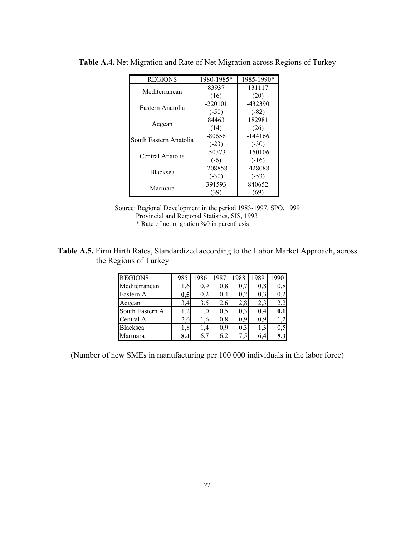| <b>REGIONS</b>         | 1980-1985* | 1985-1990* |
|------------------------|------------|------------|
| Mediterranean          | 83937      | 131117     |
|                        | (16)       | (20)       |
| Eastern Anatolia       | $-220101$  | -432390    |
|                        | $(-50)$    | $(-82)$    |
| Aegean                 | 84463      | 182981     |
|                        | (14)       | (26)       |
| South Eastern Anatolia | -80656     | $-144166$  |
|                        | $(-23)$    | $(-30)$    |
| Central Anatolia       | $-50373$   | $-150106$  |
|                        | $(-6)$     | $(-16)$    |
| <b>Blacksea</b>        | $-208858$  | -428088    |
|                        | $(-30)$    | $(-53)$    |
| Marmara                | 391593     | 840652     |
|                        | (39)       | (69)       |

**Table A.4.** Net Migration and Rate of Net Migration across Regions of Turkey

### **Table A.5.** Firm Birth Rates, Standardized according to the Labor Market Approach, across the Regions of Turkey

| <b>REGIONS</b>   | 1985 | 1986 | 1987 | 1988 | 1989       | 1990     |
|------------------|------|------|------|------|------------|----------|
| Mediterranean    | .6   | 0,9  | 0,8  |      | $0.8\,$    | 0,8      |
| Eastern A.       | 0,5  | 0.2  | 0.4  | 0,2  | 0.3        | 0,2      |
| Aegean           | 3,4  | 3,5  | 2.6  | 2,8  | 2,3        |          |
| South Eastern A. | .2   | 1.0  | 0.5  | 0,3  | 0,4        | 0,1      |
| Central A.       | 2.6  | 1.6  | 0,8  | 0,9  | 0,9        |          |
| Blacksea         | ,8   | 1,4  | 0,9  | 0,3  | $\cdot$ ,3 | $_{0,5}$ |
| Marmara          | 8.4  | 6,7  | 6.2  | 7,5  | 6.4        | 5,3      |

(Number of new SMEs in manufacturing per 100 000 individuals in the labor force)

Source: Regional Development in the period 1983-1997, SPO, 1999 Provincial and Regional Statistics, SIS, 1993 \* Rate of net migration %0 in parenthesis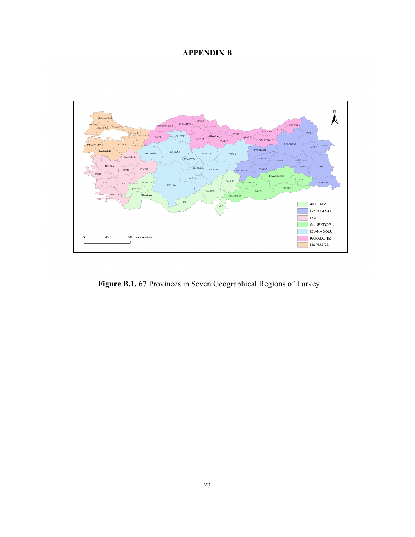### **APPENDIX B**



**Figure B.1.** 67 Provinces in Seven Geographical Regions of Turkey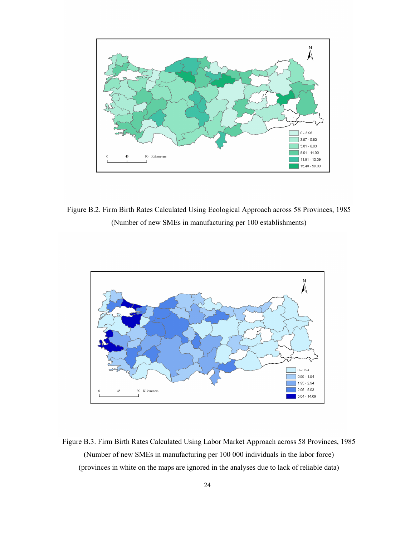

Figure B.2. Firm Birth Rates Calculated Using Ecological Approach across 58 Provinces, 1985 (Number of new SMEs in manufacturing per 100 establishments)



Figure B.3. Firm Birth Rates Calculated Using Labor Market Approach across 58 Provinces, 1985 (Number of new SMEs in manufacturing per 100 000 individuals in the labor force) (provinces in white on the maps are ignored in the analyses due to lack of reliable data)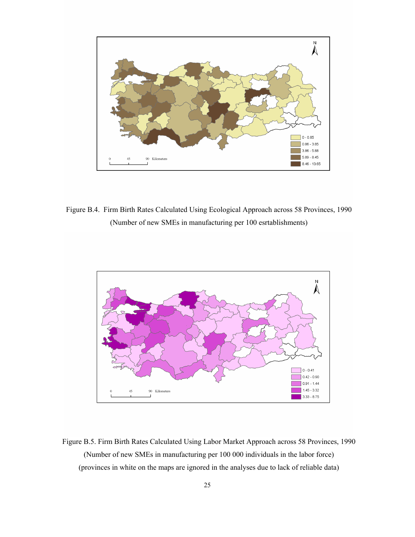

Figure B.4. Firm Birth Rates Calculated Using Ecological Approach across 58 Provinces, 1990 (Number of new SMEs in manufacturing per 100 esrtablishments)



Figure B.5. Firm Birth Rates Calculated Using Labor Market Approach across 58 Provinces, 1990 (Number of new SMEs in manufacturing per 100 000 individuals in the labor force) (provinces in white on the maps are ignored in the analyses due to lack of reliable data)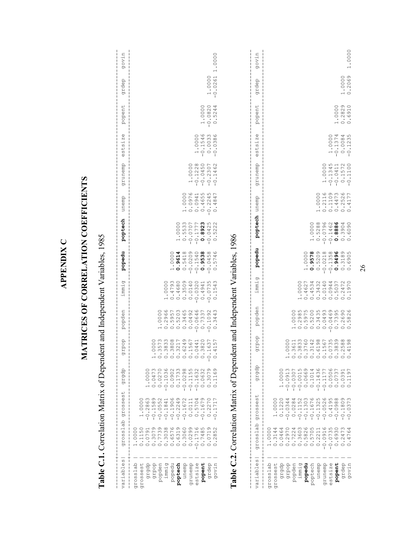|                                                                                                                                           | Table C.1. Correlation Matrix of Dependent and Independent Variables, 1985                                                                     |                                                                                                                                                                                                                                                                                                                                                                                                                                                                            |                                                                                                                                                                                   |                                                                                      |                                                                                     |                                                                                                        |                                           |                                                                     |                                                             |                                                            |                                                               |                                    |                     |                         |
|-------------------------------------------------------------------------------------------------------------------------------------------|------------------------------------------------------------------------------------------------------------------------------------------------|----------------------------------------------------------------------------------------------------------------------------------------------------------------------------------------------------------------------------------------------------------------------------------------------------------------------------------------------------------------------------------------------------------------------------------------------------------------------------|-----------------------------------------------------------------------------------------------------------------------------------------------------------------------------------|--------------------------------------------------------------------------------------|-------------------------------------------------------------------------------------|--------------------------------------------------------------------------------------------------------|-------------------------------------------|---------------------------------------------------------------------|-------------------------------------------------------------|------------------------------------------------------------|---------------------------------------------------------------|------------------------------------|---------------------|-------------------------|
| w<br>$\mathbb Q$<br>ariabl                                                                                                                | osslab<br>я<br>ρ                                                                                                                               | sses<br>ozó                                                                                                                                                                                                                                                                                                                                                                                                                                                                | dradb<br>↵                                                                                                                                                                        | dodr<br>তা                                                                           | popden                                                                              | immig                                                                                                  | popedu                                    | poptech                                                             | unemp                                                       | dueunz6                                                    | $.5\overline{1}$ Ze<br>5t<br>$\mathbb O$                      | popent                             | grdep               | govin                   |
| grdep<br>govin<br>grosslab<br>grossest<br>draqb<br>dadib<br>popden<br>immig<br>popedu<br>poptech<br>quent<br>druneub<br>estsize<br>popent | 0.0299<br>-0.1716<br>0.7485<br>$\circ$ $\circ$<br>.1150<br>.0000<br>.0791<br>0719<br>$\circ$<br>$\circ$<br>$\circ$<br>$\overline{\phantom{0}}$ | O M<br>$\begin{array}{r} 0.1589 \\ - 1.05741 \\ - 0.05410 \\ - 0.13400 \\ - 0.13400 \\ - 0.13400 \\ - 0.13400 \\ - 0.13400 \\ - 0.13400 \\ - 0.13400 \\ - 0.13400 \\ - 0.13400 \\ - 0.13400 \\ - 0.13400 \\ - 0.13400 \\ - 0.13400 \\ - 0.13400 \\ - 0.13400 \\ - 0.13400 \\ - 0.13400 \\ - 0.13400 \\ - 0.1$<br>$\begin{array}{r} -0.1906 \\ -0.2249 \\ -0.1672 \\ -0.0111 \\ 0.0111 \\ \end{array}$<br>$\circ$ $\circ$ $\sim$<br>$-0.2863$<br>$-0.167$<br>0.227<br>0.171 | $-0.1036$<br>0.0902<br>0.1733<br>$-0.0298$<br>$-0.1155$<br>$-0.1632$<br>.3079<br>.1169<br>0.0473<br>.0632<br>$\circ$<br>0.0270<br>$\overline{O}$<br>$\circ$<br>$\circ$<br>$\circ$ | 3573<br>3833<br>3808<br>3217<br>6249<br>1567<br>3820<br>0000<br>0441<br>1637<br>4157 |                                                                                     | 0.4793<br>0.4680<br>0.3509<br>0.0140<br>$-0.0320$<br>$-0.0735$<br>0.1543<br>0000<br>0.4941<br>$\vdash$ |                                           | 0.5533<br>$-0.1777\n0.89235\n-0.0422\n0.522$<br>1.0000<br>$-0.0707$ | 0.0976<br>0.0941<br>1.0000<br>0.4655<br>$-0.2245$<br>0.4847 | 1.0000<br>$-0.1228$<br>$-0.0450$<br>$-0.2307$<br>$-0.1462$ | $-0.1546$<br>0.0033<br>1.0000<br>.0386<br>$\bigcap_{i=1}^{n}$ | $-0.0000$<br>$-0.0820$<br>$0.5244$ | 1.0000<br>$-0.0261$ | .0000                   |
|                                                                                                                                           | Table C.2. Correlation Matrix of Dependent and Independent Variables, 1986                                                                     |                                                                                                                                                                                                                                                                                                                                                                                                                                                                            |                                                                                                                                                                                   |                                                                                      |                                                                                     |                                                                                                        |                                           |                                                                     |                                                             |                                                            |                                                               |                                    |                     |                         |
| ω<br>variable                                                                                                                             | grosslab                                                                                                                                       | $\downarrow$<br>$\omega$<br>$\frac{1}{3}$<br>gros                                                                                                                                                                                                                                                                                                                                                                                                                          | dradb                                                                                                                                                                             | dodif                                                                                | popden                                                                              | immig                                                                                                  | popedu                                    | poptech                                                             | unemp                                                       | drnueub                                                    | estsize                                                       | popent                             | grdep               | govin                   |
| grosslab<br>grossest<br>draqb                                                                                                             | .0000                                                                                                                                          | 1.0000<br>0.1220                                                                                                                                                                                                                                                                                                                                                                                                                                                           | 1.0000                                                                                                                                                                            |                                                                                      |                                                                                     |                                                                                                        |                                           |                                                                     |                                                             |                                                            |                                                               |                                    |                     |                         |
| dadib<br>popden<br>immig<br>popedu                                                                                                        |                                                                                                                                                | 4<br>$N$ $\omega$<br>4<br>$-0.034$<br>$-0.0284$ $-0.1152$ $-0.1303$                                                                                                                                                                                                                                                                                                                                                                                                        | $-0.0307$<br>$-0.0015$<br>$0.0669$<br>$0.0669$<br>$0.1014$<br>$-0.0913$                                                                                                           | 3833<br>0000<br>3611<br>H 0 0 0 0 0 0 0 0 0 0                                        | $\begin{array}{cccc} 1.0000 \\ 0.0088 \\ 0.0070 \\ 0.0000 \\ 0.0000 \\ \end{array}$ | 0000                                                                                                   | 1.0000                                    |                                                                     |                                                             |                                                            |                                                               |                                    |                     |                         |
| poptech                                                                                                                                   | 0.2211                                                                                                                                         | ഗ<br>$-0.1676$                                                                                                                                                                                                                                                                                                                                                                                                                                                             |                                                                                                                                                                                   | 3760<br>3142<br>6198                                                                 |                                                                                     |                                                                                                        | $0.9578$<br>0.5209                        | 1.0000                                                              |                                                             |                                                            |                                                               |                                    |                     |                         |
| queun<br>grunemp                                                                                                                          |                                                                                                                                                | $-0.052$                                                                                                                                                                                                                                                                                                                                                                                                                                                                   | $-0.1436$<br>$-0.1177$                                                                                                                                                            | 1567                                                                                 | ഗനതന<br>0.049                                                                       |                                                                                                        |                                           | 0.5288                                                              | 1.0000<br>0.2116<br>0.1109<br>0.4473                        | 1.0000                                                     |                                                               |                                    |                     |                         |
| estsize                                                                                                                                   | $-0.0916$<br>$-0.0735$<br>0.6930                                                                                                               | $-0.4198$                                                                                                                                                                                                                                                                                                                                                                                                                                                                  | 0.0506                                                                                                                                                                            | 0735<br>3839                                                                         | $-0.0469$                                                                           |                                                                                                        |                                           | $-0.0796$<br>$-0.1462$                                              |                                                             | $-0.1345$<br>$-0.0411$                                     | 1.0000                                                        |                                    |                     |                         |
| popent                                                                                                                                    |                                                                                                                                                | <u>ശ ഗ ര ത ന</u>                                                                                                                                                                                                                                                                                                                                                                                                                                                           | $-737$<br>$\circ$ .<br>$\circ$                                                                                                                                                    |                                                                                      |                                                                                     |                                                                                                        |                                           | .8886<br>$\circ$                                                    |                                                             |                                                            | $-0.1374$                                                     | 1.0000                             |                     |                         |
| dapz6<br>govin                                                                                                                            | 2473<br>4764<br>.247<br>$\circ$                                                                                                                | $-0.1805$                                                                                                                                                                                                                                                                                                                                                                                                                                                                  | 1.0391<br>1197<br>$\circ$ $\circ$                                                                                                                                                 | 2588<br>4198                                                                         | 0.2690<br>$\circ$                                                                   |                                                                                                        | 8<br>0215<br>0313496<br>0010305<br>000000 | 0.3904                                                              | $0.2526$<br>$0.4177$                                        | $0.1572$<br>-0.1100                                        | $-0.0084$<br>$-0.1235$                                        | 0.2829<br>0.6910                   | 1.0000<br>0.2069    | .0000<br>$\overline{ }$ |

APPENDIX C  **APPENDIX C** 

# MATRICES OF CORRELATION COEFFICIENTS **MATRICES OF CORRELATION COEFFICIENTS**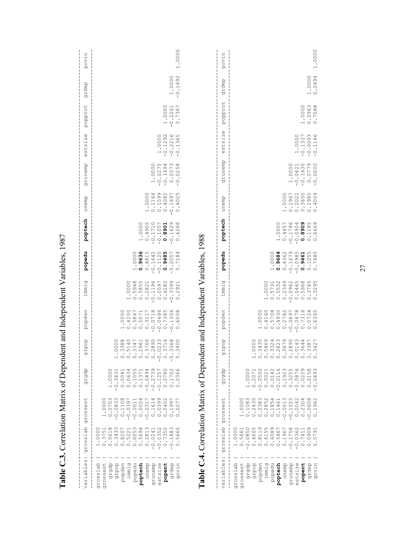|                                                                                                                                           |                                                                                                                  | Table C.3. Correlation Matrix of Dependent and Independent Variables, 1987                                                                           |                                                                                                                                                                                                                                                         |                                                                                         |                                                                                                                                                                                         |                                                                                                                                                                                                  |                                                                                         |                                                                                                                                                     |                                                                                                                       |                                                                                      |                                                   |                                  |                |        |
|-------------------------------------------------------------------------------------------------------------------------------------------|------------------------------------------------------------------------------------------------------------------|------------------------------------------------------------------------------------------------------------------------------------------------------|---------------------------------------------------------------------------------------------------------------------------------------------------------------------------------------------------------------------------------------------------------|-----------------------------------------------------------------------------------------|-----------------------------------------------------------------------------------------------------------------------------------------------------------------------------------------|--------------------------------------------------------------------------------------------------------------------------------------------------------------------------------------------------|-----------------------------------------------------------------------------------------|-----------------------------------------------------------------------------------------------------------------------------------------------------|-----------------------------------------------------------------------------------------------------------------------|--------------------------------------------------------------------------------------|---------------------------------------------------|----------------------------------|----------------|--------|
| $\overset{\text{\tiny 0}}{\oplus}$<br>variabl                                                                                             | do<br>$\overline{\phantom{0}}$<br>gross                                                                          | $_{+}$<br>ω<br>$\frac{0}{2}$<br>gros                                                                                                                 | dradb                                                                                                                                                                                                                                                   | pop<br>lab                                                                              | popden                                                                                                                                                                                  | immig                                                                                                                                                                                            | popedu                                                                                  | poptech                                                                                                                                             | unemp                                                                                                                 | drunemb                                                                              | Φ<br>N<br>$\cdot$ H<br>ω<br>$\frac{1}{2}$<br>Φ    | popprot                          | grdep          | govin  |
| estsize<br>popent<br>grosslab<br>grgdp<br>dadib<br>popedu<br>poptech<br>quent<br>grunemp<br>grdep<br>govin<br>grossest<br>popden<br>immig | $-0.0352$<br>0.7350<br>$\frac{3}{8}$<br>000<br>.18<br>$\circ$<br>଼<br><u>ن</u><br>$\overline{C}$<br>$\circ$      | 0.1108<br>0.0399<br>$\circ$<br>0.0703<br>$-0.0833$<br>$-0.0397$<br>0.0024<br>0.1614<br>0.0402<br>0.1997<br>0.0277<br>$-0.0011$<br>$-0.0317$<br>1.000 | 4 N<br>40L<br>$\circ$<br>$\sim$ $\circ$<br>.0000<br>0.1371<br>.3831<br>$\overline{\phantom{0}}$<br>0.0041<br>0.0634<br>0.1055<br>$-0.0494$<br>$-0.2739$<br>$-0.1257$<br>1.078<br>0.1702<br>$\bigcirc$<br>$\circ$<br>$\circ$<br>$\overline{\phantom{0}}$ | $0.580$<br>$0.580$<br>388<br>0140<br>1347<br>1714<br>:368<br>000<br>40 <sub>1</sub>     | $\begin{array}{cccc} 1.0000 & 0 \\ 0.011 & 0.000 \\ 0.000 & 0.011 \\ 0.000 & 0.011 \\ 0.000 & 0.011 \\ 0.001 & 0.013 \\ 0.011 & 0.008 \\ 0.011 & 0.000 \\ 0.000 & 0.000 \\ \end{array}$ | 948<br>855<br>.1196<br>597<br>.6282<br>399<br>.0000<br>821<br>921<br>$\overline{5}$<br>$\ddot{\sim}$<br>$\circ$ .<br>$\ddot{\circ}$<br>$\overline{\phantom{a}}$ .<br>$\ddot{\sim}$<br>1000000000 | 0.9636<br>50215945564<br>50215945565<br>5021594556<br>50215856<br>1.0000                | 0.171057<br>0171.0-<br>9065.0<br>$-0.1629$<br>.0000<br>0.8901<br>$\infty$<br>$\frac{6}{2}$<br>$\ddot{\circ}$<br>$\circ$<br>$\overline{\phantom{0}}$ | $\begin{array}{cccc} 1.00000 \\ -0.11680 \\ -0.116982 \\ -0.110982 \\ -0.10000 \\ -0.10000 \\ -0.1000 \\ \end{array}$ | 1.00000<br>-0275<br>-01694<br>-010373<br>-0103558                                    | $-0.10000$<br>$-0.1292$<br>$-0.2216$<br>$-0.1365$ | $-0.2261$<br>$-0.2261$<br>0.7367 | $-0.1692$      | .0000  |
| $\frac{1}{1}$<br>$\frac{0}{2}$<br>ariabl<br>⋗                                                                                             | Ъ<br>$\overline{\phantom{0}}$<br>w<br>gross                                                                      | Table C.4. Correlation Matrix of Dependent and Independent Variables, 1988<br>↵<br>ω<br>99<br>o.<br>я<br>চ                                           | dradb                                                                                                                                                                                                                                                   | dod<br>ı<br>Ŀб                                                                          | popden                                                                                                                                                                                  | immig                                                                                                                                                                                            | popedu                                                                                  | poptech                                                                                                                                             | unemp                                                                                                                 | dueunz6                                                                              | $\mathbb O$<br>N<br>$\frac{1}{2}$<br>est:         | popprot                          | grdep          | govin  |
| grosslab<br>dradb<br>dadib<br>popedu<br>quent<br>grunemp<br>estsize<br>popent<br>grdep<br>govin<br>grossest<br>popden<br>immig<br>poptech | 0.1967<br>$-0.1758$<br>362<br>909<br>1.0000<br>.7411<br>51<br>$-0.0$<br>$\circ$ in<br>$\circ$<br>$\circ$ $\circ$ | 1.0000<br>0.1083<br>$-0.0013$<br>$-0.1025$<br>0.0042<br>0.2304<br>$-0.0608$<br>$\circ$<br>$\circ$<br>$\overline{a}$<br>$\circ$                       | $-0.0550$<br>1.0000<br>0.2071<br>022158                                                                                                                                                                                                                 | 44 w 8 6 8 4 6<br>w 6 9 9 6 9 4 6<br>w 9 4 w 9 0 w 4<br>000<br>387<br>427<br>HOOOOOOOOO |                                                                                                                                                                                         | .3745                                                                                                                                                                                            | 1.0000<br>0.9684<br>0.4362<br>$-0.1679\n-0.09865\n0.0000\n0.00000\n0.000000\n0.0000000$ | 14457<br>11859<br>.0000<br>$\circ$<br>$\circ$<br>$\overline{\phantom{0}}$                                                                           |                                                                                                                       | $\begin{array}{r} 1.0000 \\ -0.1421 \\ -0.1630 \\ -0.0779 \\ -0.0779 \\ \end{array}$ | $-0.1327$<br>$-0.0093$<br>$-0.1146$               | 1.0000<br>0.0963<br>0.7688       | 0000<br>0.0494 | 1.0000 |

### 27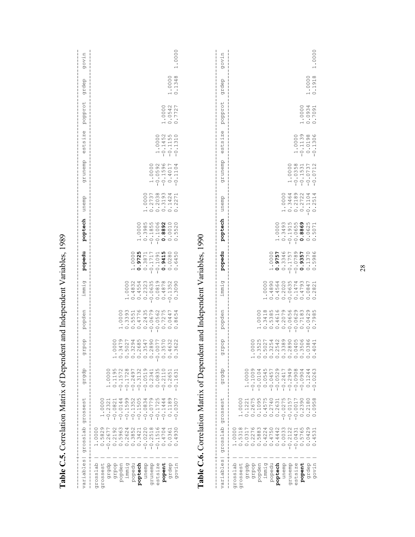|                                                                                                                                                          |                                                                                                                                                                                | Table C.5. Correlation Matrix of Dependent and Independent Variables, 1989                                                                                                                                         |                                                                                                                                                                                                                                                                                                                                                                                                                               |                                                                                                                                                                               |        |                                                                                                                                                                    |                                                                                                                                                                                                                                                                                                                                      |                                                                                                  |                                                                                                                                                                                                                                                                                                                        |                                                                                                  |                                                    |                            |                  |            |
|----------------------------------------------------------------------------------------------------------------------------------------------------------|--------------------------------------------------------------------------------------------------------------------------------------------------------------------------------|--------------------------------------------------------------------------------------------------------------------------------------------------------------------------------------------------------------------|-------------------------------------------------------------------------------------------------------------------------------------------------------------------------------------------------------------------------------------------------------------------------------------------------------------------------------------------------------------------------------------------------------------------------------|-------------------------------------------------------------------------------------------------------------------------------------------------------------------------------|--------|--------------------------------------------------------------------------------------------------------------------------------------------------------------------|--------------------------------------------------------------------------------------------------------------------------------------------------------------------------------------------------------------------------------------------------------------------------------------------------------------------------------------|--------------------------------------------------------------------------------------------------|------------------------------------------------------------------------------------------------------------------------------------------------------------------------------------------------------------------------------------------------------------------------------------------------------------------------|--------------------------------------------------------------------------------------------------|----------------------------------------------------|----------------------------|------------------|------------|
| $\ddagger$<br>$\mathcal{O}$<br>variable                                                                                                                  | grosslab<br>п                                                                                                                                                                  | ↵<br>C)<br>Ф<br>ω<br>gross                                                                                                                                                                                         | dradb                                                                                                                                                                                                                                                                                                                                                                                                                         | pop<br>ı<br>ГJ                                                                                                                                                                | popden | immig                                                                                                                                                              | popedu                                                                                                                                                                                                                                                                                                                               | poptech                                                                                          | unemp                                                                                                                                                                                                                                                                                                                  | grunemp                                                                                          | $\mathbb U$<br>N<br>$\cdot$ $\vdash$<br>ists:<br>Ф | popprot                    | grdep            | govin<br>ı |
| popent<br>grosslab<br>dradb<br>dadib<br>popden<br>immig<br>popedu<br>poptech<br>quent<br>grunemp<br>setsize<br>grdep<br>govin<br>grossest<br>$\mathbb O$ | $-0.2518$<br>$-0.1516$<br>$-0.0220$<br>0.4704<br>$\overline{30}$<br>$-0.5829 - 0$<br>1,0361<br>1.0000<br>$\circ$<br>$\overline{a}$<br>$\circ$                                  | $\begin{array}{r} -0.1598 \\ -0.13504 \\ -0.15034 \\ -0.0104 \\ \end{array}$<br>$-0.0779$<br>$-0.1725$<br>Q<br>$\circ$<br>$-0.0044$<br>$-0.1444$<br>.0307<br>1.2321<br>$-0.0821$<br>$0000$ .<br>0.118<br>$\bigcap$ | 1.0000<br>0.1195<br>$\begin{array}{r} 1.577 \\ -1.7728 \\ -1.7749 \\ -1.749134 \\ -1.7491341 \\ -1.00000 \\ -1.00000 \\ -1.00000 \\ -1.00000 \\ -1.00000 \\ -1.00000 \\ -1.00000 \\ -1.00000 \\ -1.00000 \\ -1.00000 \\ -1.00000 \\ -1.00000 \\ -1.00000 \\ -1.00000 \\ -1.00000 \\ -1.00000 \\ -1.00000 \\ -1.00000 \\ -1.0000$<br>$-0.2110$<br>$\overline{a}$<br>$\overline{6}$<br>$\infty$<br>$\circ$<br>0.2<br>$\bigcirc$ | 40000000<br>LUQ 040L<br>4000000<br>570<br>000<br>632<br>622                                                                                                                   |        | 0000                                                                                                                                                               | $\begin{array}{cccc} 1.0000 \\ -1.0025 \\ -0.371 \\ -0.000 \\ -0.000 \\ -0.000 \\ -0.000 \\ -0.000 \\ -0.000 \\ -0.000 \\ -0.000 \\ -0.000 \\ -0.000 \\ -0.000 \\ -0.000 \\ -0.000 \\ -0.000 \\ -0.000 \\ -0.000 \\ -0.000 \\ -0.000 \\ -0.000 \\ -0.000 \\ -0.000 \\ -0.000 \\ -0.000 \\ -0.000 \\ -0.000 \\ -0.000 \\ -0.000 \\ -$ | $-0.3985$ $-0.1855$ $-0.1006$<br>.0000<br>0.8892<br>0.0010<br>0.5520<br>$\overline{\phantom{0}}$ | $\begin{array}{cccc} 1.00000 \\ 0.00000 \\ -0.00000 \\ -0.00000 \\ -0.00000 \\ -0.0000 \\ -0.0000 \\ -0.0000 \\ -0.0000 \\ -0.0000 \\ -0.0000 \\ -0.0000 \\ -0.0000 \\ -0.0000 \\ -0.0000 \\ -0.0000 \\ -0.0000 \\ -0.0000 \\ -0.0000 \\ -0.0000 \\ -0.0000 \\ -0.0000 \\ -0.0000 \\ -0.0000 \\ -0.0000 \\ -0.0000 \\$ | $-0.00000$ $-0.1596$ $-0.1596$ $-0.1596$ $-0.104$ $-0.104$                                       | $-0.1452$<br>$-0.1155$<br>$-0.1310$                | 1.0000<br>0.0542<br>0.7727 | 1.0000<br>0.1348 | .0000      |
| $\omega$<br>variable                                                                                                                                     | ನೆ<br>$\overline{\phantom{0}}$<br>gross.                                                                                                                                       | Table C.6. Correlation Matrix of Dependent and Independent Variables, 1990<br>↵<br>$\Omega$<br>$\overset{\oplus}{\scriptstyle\Omega}$<br>gros;                                                                     | dradb                                                                                                                                                                                                                                                                                                                                                                                                                         | pop<br>Ξp                                                                                                                                                                     | popden | immig                                                                                                                                                              | popedu                                                                                                                                                                                                                                                                                                                               | poptech                                                                                          | unemp                                                                                                                                                                                                                                                                                                                  | grunemp                                                                                          | Φ<br>N<br>stsi<br>$\mathbb{O}$                     | popprot                    | grdep            | govin      |
| grosslab<br>grossest<br>draqb<br>dadib<br>popden<br>popedu<br>poptech<br>unemp<br>grunemp<br>estsize<br>popent<br>grdep<br>govin<br>immig                | 2012<br>2022/2022 12:00<br>2022/2022 12:00<br>2022 12:00<br>2022 12:00<br>0.0033<br>000<br>$-0.2122$<br>$-0.0431$<br>ഗ<br>ന<br>0.576<br>$0.0429$<br>0.4531<br>$\sum_{i=1}^{n}$ | $-0.0157$<br>1.2390<br>$\circ$<br>.0000<br>$-0.0017$<br>$\infty$<br>1.2180<br>$\circ$<br>$\circ$                                                                                                                   | $-0.0545$ $-0.04529$ $-0.05247$ $-0.2417$<br>$\circ$<br>$-0.1009$<br>$-0.0104$<br>$-0.2949$<br>$-0.0908$<br>$\overline{\phantom{a}}$<br>പ ധ<br>1.000<br>$-0.0800 - 0 - 0 - 0 - 0$<br>$\frac{4}{2}$ 6.<br>$\overline{0}$ .<br>$\circ$ .<br>$\bigcap$                                                                                                                                                                           | O V IV W & 4 IV W<br>O V IV 4 & Q O O O &<br>O V IV W O O IV & Q<br>525<br>000<br>041<br>o miniminino moja<br>$\overline{\phantom{a}}$ $\overline{\phantom{a}}$<br>0000000000 |        | $\begin{array}{c} 1.0000 \\ 0.4890 \\ 0.4564 \\ 0.2020 \\ 0.2020 \\ -0.0635 \end{array}$<br>$\begin{array}{c} 0.1474 \\ 0.4793 \\ 0.0847 \\ 0.0847 \\ \end{array}$ | $0.9757$<br>0.3346<br>1.0000<br>$-0.1757$<br>$-0.0789$<br>0.9357<br>0.1370<br>0.5986                                                                                                                                                                                                                                                 | $-0.3495\n-0.10655\n-0.0886\n0.886$<br>1.0000<br>1.5071<br>$\circ$ $\circ$                       | $\begin{array}{c} 1.00000 \\ 0.3464 \\ 0.2189 \\ 0.2722 \end{array}$<br>$-0.1104$<br>1514<br>$\ddot{\sim}$<br>$\circ$                                                                                                                                                                                                  | $\begin{array}{r} 1.00000 \\ -0.1558 \\ -0.1531 \\ -0.0737 \\ -0.0737 \\ -0.0737 \\ \end{array}$ | $-0.1139$<br>$0.0198$<br>-0.1306                   | 1.0000<br>.0934<br>0.7091  | 1.0000<br>0.1918 | 1.0000     |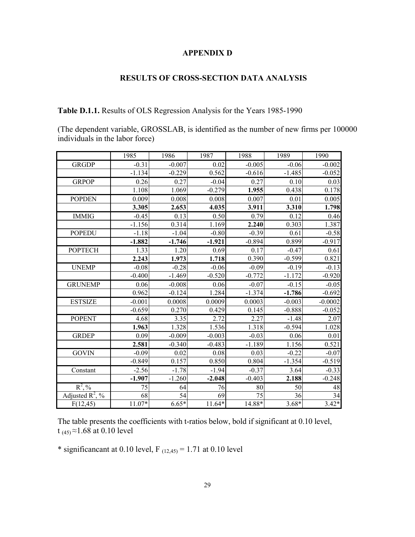### **APPENDIX D**

### **RESULTS OF CROSS-SECTION DATA ANALYSIS**

**Table D.1.1.** Results of OLS Regression Analysis for the Years 1985-1990

(The dependent variable, GROSSLAB, is identified as the number of new firms per 100000 individuals in the labor force)

|                    | 1985     | 1986     | 1987     | 1988     | 1989     | 1990      |
|--------------------|----------|----------|----------|----------|----------|-----------|
| <b>GRGDP</b>       | $-0.31$  | $-0.007$ | 0.02     | $-0.005$ | $-0.06$  | $-0.002$  |
|                    | $-1.134$ | $-0.229$ | 0.562    | $-0.616$ | $-1.485$ | $-0.052$  |
| <b>GRPOP</b>       | 0.26     | 0.27     | $-0.04$  | 0.27     | 0.10     | 0.03      |
|                    | 1.108    | 1.069    | $-0.279$ | 1.955    | 0.438    | 0.178     |
| <b>POPDEN</b>      | 0.009    | 0.008    | 0.008    | 0.007    | 0.01     | 0.005     |
|                    | 3.305    | 2.653    | 4.035    | 3.911    | 3.310    | 1.798     |
| <b>IMMIG</b>       | $-0.45$  | 0.13     | 0.50     | 0.79     | 0.12     | 0.46      |
|                    | $-1.156$ | 0.314    | 1.169    | 2.240    | 0.303    | 1.387     |
| <b>POPEDU</b>      | $-1.18$  | $-1.04$  | $-0.80$  | $-0.39$  | 0.61     | $-0.58$   |
|                    | $-1.882$ | $-1.746$ | $-1.921$ | $-0.894$ | 0.899    | $-0.917$  |
| <b>POPTECH</b>     | 1.33     | 1.20     | 0.69     | 0.17     | $-0.47$  | 0.61      |
|                    | 2.243    | 1.973    | 1.718    | 0.390    | $-0.599$ | 0.821     |
| <b>UNEMP</b>       | $-0.08$  | $-0.28$  | $-0.06$  | $-0.09$  | $-0.19$  | $-0.13$   |
|                    | $-0.400$ | $-1.469$ | $-0.520$ | $-0.772$ | $-1.172$ | $-0.920$  |
| <b>GRUNEMP</b>     | 0.06     | $-0.008$ | 0.06     | $-0.07$  | $-0.15$  | $-0.05$   |
|                    | 0.962    | $-0.124$ | 1.284    | $-1.374$ | $-1.786$ | $-0.692$  |
| <b>ESTSIZE</b>     | $-0.001$ | 0.0008   | 0.0009   | 0.0003   | $-0.003$ | $-0.0002$ |
|                    | $-0.659$ | 0.270    | 0.429    | 0.145    | $-0.888$ | $-0.052$  |
| <b>POPENT</b>      | 4.68     | 3.35     | 2.72     | 2.27     | $-1.48$  | 2.07      |
|                    | 1.963    | 1.328    | 1.536    | 1.318    | $-0.594$ | 1.028     |
| <b>GRDEP</b>       | 0.09     | $-0.009$ | $-0.003$ | $-0.03$  | 0.06     | 0.01      |
|                    | 2.581    | $-0.340$ | $-0.483$ | $-1.189$ | 1.156    | 0.521     |
| <b>GOVIN</b>       | $-0.09$  | 0.02     | 0.08     | 0.03     | $-0.22$  | $-0.07$   |
|                    | $-0.849$ | 0.157    | 0.850    | 0.804    | $-1.354$ | $-0.519$  |
| Constant           | $-2.56$  | $-1.78$  | $-1.94$  | $-0.37$  | 3.64     | $-0.33$   |
|                    | $-1.907$ | $-1.260$ | $-2.048$ | $-0.403$ | 2.188    | $-0.248$  |
| $R^2, \%$          | 75       | 64       | 76       | 80       | 50       | 48        |
| Adjusted $R^2$ , % | 68       | 54       | 69       | 75       | 36       | 34        |
| F(12, 45)          | $11.07*$ | $6.65*$  | 11.64*   | 14.88*   | $3.68*$  | $3.42*$   |

The table presents the coefficients with t-ratios below, bold if significant at 0.10 level, t  $_{(45)} \approx 1.68$  at 0.10 level

\* significancant at 0.10 level,  $F_{(12,45)} = 1.71$  at 0.10 level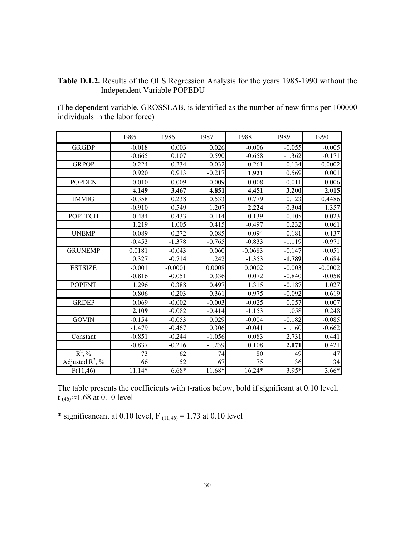### **Table D.1.2.** Results of the OLS Regression Analysis for the years 1985-1990 without the Independent Variable POPEDU

(The dependent variable, GROSSLAB, is identified as the number of new firms per 100000 individuals in the labor force)

|                             | 1985     | 1986            | 1987     | 1988      | 1989     | 1990            |
|-----------------------------|----------|-----------------|----------|-----------|----------|-----------------|
| GRGDP                       | $-0.018$ | 0.003           | 0.026    | $-0.006$  | $-0.055$ | $-0.005$        |
|                             | $-0.665$ | 0.107           | 0.590    | $-0.658$  | $-1.362$ | $-0.171$        |
| <b>GRPOP</b>                | 0.224    | 0.234           | $-0.032$ | 0.261     | 0.134    | 0.0002          |
|                             | 0.920    | 0.913           | $-0.217$ | 1.921     | 0.569    | 0.001           |
| <b>POPDEN</b>               | 0.010    | 0.009           | 0.009    | 0.008     | 0.011    | 0.006           |
|                             | 4.149    | 3.467           | 4.851    | 4.451     | 3.200    | 2.015           |
| <b>IMMIG</b>                | $-0.358$ | 0.238           | 0.533    | 0.779     | 0.123    | 0.4486          |
|                             | $-0.910$ | 0.549           | 1.207    | 2.224     | 0.304    | 1.357           |
| <b>POPTECH</b>              | 0.484    | 0.433           | 0.114    | $-0.139$  | 0.105    | 0.023           |
|                             | 1.219    | 1.005           | 0.415    | $-0.497$  | 0.232    | 0.061           |
| <b>UNEMP</b>                | $-0.089$ | $-0.272$        | $-0.085$ | $-0.094$  | $-0.181$ | $-0.137$        |
|                             | $-0.453$ | $-1.378$        | $-0.765$ | $-0.833$  | $-1.119$ | $-0.971$        |
| <b>GRUNEMP</b>              | 0.0181   | $-0.043$        | 0.060    | $-0.0683$ | $-0.147$ | $-0.051$        |
|                             | 0.327    | $-0.714$        | 1.242    | $-1.353$  | $-1.789$ | $-0.684$        |
| <b>ESTSIZE</b>              | $-0.001$ | $-0.0001$       | 0.0008   | 0.0002    | $-0.003$ | $-0.0002$       |
|                             | $-0.816$ | $-0.051$        | 0.336    | 0.072     | $-0.840$ | $-0.058$        |
| <b>POPENT</b>               | 1.296    | 0.388           | 0.497    | 1.315     | $-0.187$ | 1.027           |
|                             | 0.806    | 0.203           | 0.361    | 0.975     | $-0.092$ | 0.619           |
| <b>GRDEP</b>                | 0.069    | $-0.002$        | $-0.003$ | $-0.025$  | 0.057    | 0.007           |
|                             | 2.109    | $-0.082$        | $-0.414$ | $-1.153$  | 1.058    | 0.248           |
| <b>GOVIN</b>                | $-0.154$ | $-0.053$        | 0.029    | $-0.004$  | $-0.182$ | $-0.085$        |
|                             | $-1.479$ | $-0.467$        | 0.306    | $-0.041$  | $-1.160$ | $-0.662$        |
| Constant                    | $-0.851$ | $-0.244$        | $-1.056$ | 0.083     | 2.731    | 0.441           |
|                             | $-0.837$ | $-0.216$        | $-1.239$ | 0.108     | 2.071    | 0.421           |
| $R^2, \%$                   | 73       | 62              | 74       | 80        | 49       | 47              |
| Adjusted $\mathbb{R}^2$ , % | 66       | $\overline{52}$ | 67       | 75        | 36       | $\overline{34}$ |
| F(11,46)                    | $11.14*$ | $6.68*$         | 11.68*   | $16.24*$  | $3.95*$  | $3.66*$         |

The table presents the coefficients with t-ratios below, bold if significant at 0.10 level, t (46) ≈1.68 at 0.10 level

\* significancant at 0.10 level,  $F_{(11,46)} = 1.73$  at 0.10 level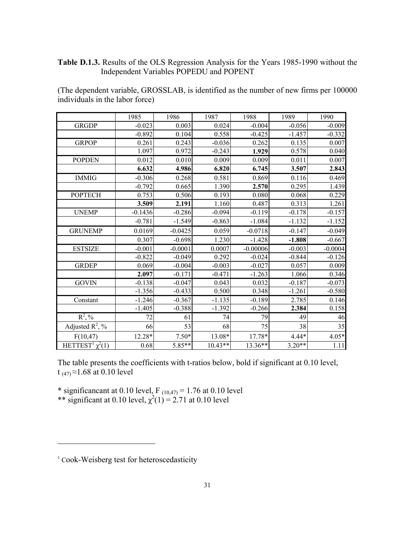### **Table D.1.3.** Results of the OLS Regression Analysis for the Years 1985-1990 without the Independent Variables POPEDU and POPENT

(The dependent variable, GROSSLAB, is identified as the number of new firms per 100000 individuals in the labor force)

|                                  | 1985      | 1986      | 1987      | 1988       | 1989     | 1990      |
|----------------------------------|-----------|-----------|-----------|------------|----------|-----------|
| <b>GRGDP</b>                     | $-0.023$  | 0.003     | 0.024     | $-0.004$   | $-0.056$ | $-0.009$  |
|                                  | $-0.892$  | 0.104     | 0.558     | $-0.425$   | $-1.457$ | $-0.332$  |
| <b>GRPOP</b>                     | 0.261     | 0.243     | $-0.036$  | 0.262      | 0.135    | 0.007     |
|                                  | 1.097     | 0.972     | $-0.243$  | 1.929      | 0.578    | 0.040     |
| <b>POPDEN</b>                    | 0.012     | 0.010     | 0.009     | 0.009      | 0.011    | 0.007     |
|                                  | 6.632     | 4.986     | 6.820     | 6.745      | 3.507    | 2.843     |
| <b>IMMIG</b>                     | $-0.306$  | 0.268     | 0.581     | 0.869      | 0.116    | 0.469     |
|                                  | $-0.792$  | 0.665     | 1.390     | 2.570      | 0.295    | 1.439     |
| <b>POPTECH</b>                   | 0.753     | 0.506     | 0.193     | 0.080      | 0.068    | 0.229     |
|                                  | 3.509     | 2.191     | 1.160     | 0.487      | 0.313    | 1.261     |
| <b>UNEMP</b>                     | $-0.1436$ | $-0.286$  | $-0.094$  | $-0.119$   | $-0.178$ | $-0.157$  |
|                                  | $-0.781$  | $-1.549$  | $-0.863$  | $-1.084$   | $-1.132$ | $-1.152$  |
| <b>GRUNEMP</b>                   | 0.0169    | $-0.0425$ | 0.059     | $-0.0718$  | $-0.147$ | $-0.049$  |
|                                  | 0.307     | $-0.698$  | 1.230     | $-1.428$   | $-1.808$ | $-0.667$  |
| <b>ESTSIZE</b>                   | $-0.001$  | $-0.0001$ | 0.0007    | $-0.00006$ | $-0.003$ | $-0.0004$ |
|                                  | $-0.822$  | $-0.049$  | 0.292     | $-0.024$   | $-0.844$ | $-0.126$  |
| <b>GRDEP</b>                     | 0.069     | $-0.004$  | $-0.003$  | $-0.027$   | 0.057    | 0.009     |
|                                  | 2.097     | $-0.171$  | $-0.471$  | $-1.263$   | 1.066    | 0.346     |
| <b>GOVIN</b>                     | $-0.138$  | $-0.047$  | 0.043     | 0.032      | $-0.187$ | $-0.073$  |
|                                  | $-1.356$  | $-0.433$  | 0.500     | 0.348      | $-1.261$ | $-0.580$  |
| Constant                         | $-1.246$  | $-0.367$  | $-1.135$  | $-0.189$   | 2.785    | 0.146     |
|                                  | $-1.405$  | $-0.388$  | $-1.392$  | $-0.266$   | 2.384    | 0.158     |
| $R^2, \%$                        | 72        | 61        | 74        | 79         | 49       | 46        |
| Adjusted $R^2$ , %               | 66        | 53        | 68        | 75         | 38       | 35        |
| F(10,47)                         | 12.28*    | $7.50*$   | 13.08*    | 17.78*     | 4.44*    | $4.05*$   |
| HETTEST <sup>1</sup> $\chi^2(1)$ | 0.68      | 5.85**    | $10.43**$ | 13.36**    | $3.20**$ | 1.11      |

The table presents the coefficients with t-ratios below, bold if significant at 0.10 level, t (47)  $\approx$  1.68 at 0.10 level

\* significancant at 0.10 level,  $F_{(10,47)} = 1.76$  at 0.10 level \*\* significant at 0.10 level,  $\chi^2(1) = 2.71$  at 0.10 level

-

<sup>&</sup>lt;sup>1</sup> Cook-Weisberg test for heteroscedasticity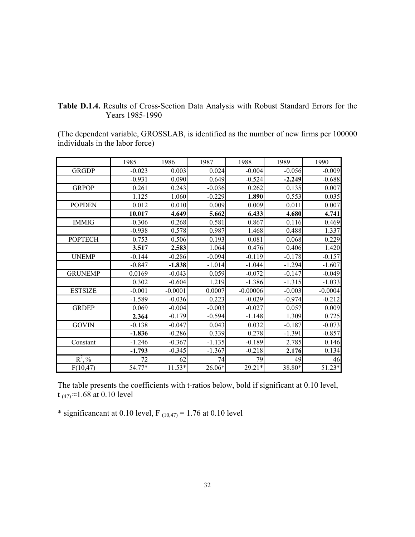|                 | Table D.1.4. Results of Cross-Section Data Analysis with Robust Standard Errors for the |  |  |  |  |
|-----------------|-----------------------------------------------------------------------------------------|--|--|--|--|
| Years 1985-1990 |                                                                                         |  |  |  |  |

(The dependent variable, GROSSLAB, is identified as the number of new firms per 100000 individuals in the labor force)

|                | 1985     | 1986      | 1987     | 1988       | 1989     | 1990      |
|----------------|----------|-----------|----------|------------|----------|-----------|
| <b>GRGDP</b>   | $-0.023$ | 0.003     | 0.024    | $-0.004$   | $-0.056$ | $-0.009$  |
|                | $-0.931$ | 0.090     | 0.649    | $-0.524$   | $-2.249$ | $-0.688$  |
| <b>GRPOP</b>   | 0.261    | 0.243     | $-0.036$ | 0.262      | 0.135    | 0.007     |
|                | 1.125    | 1.060     | $-0.229$ | 1.890      | 0.553    | 0.035     |
| <b>POPDEN</b>  | 0.012    | 0.010     | 0.009    | 0.009      | 0.011    | 0.007     |
|                | 10.017   | 4.649     | 5.662    | 6.433      | 4.680    | 4.741     |
| <b>IMMIG</b>   | $-0.306$ | 0.268     | 0.581    | 0.867      | 0.116    | 0.469     |
|                | $-0.938$ | 0.578     | 0.987    | 1.468      | 0.488    | 1.337     |
| <b>POPTECH</b> | 0.753    | 0.506     | 0.193    | 0.081      | 0.068    | 0.229     |
|                | 3.517    | 2.583     | 1.064    | 0.476      | 0.406    | 1.420     |
| <b>UNEMP</b>   | $-0.144$ | $-0.286$  | $-0.094$ | $-0.119$   | $-0.178$ | $-0.157$  |
|                | $-0.847$ | $-1.838$  | $-1.014$ | $-1.044$   | $-1.294$ | $-1.607$  |
| <b>GRUNEMP</b> | 0.0169   | $-0.043$  | 0.059    | $-0.072$   | $-0.147$ | $-0.049$  |
|                | 0.302    | $-0.604$  | 1.219    | $-1.386$   | $-1.315$ | $-1.033$  |
| <b>ESTSIZE</b> | $-0.001$ | $-0.0001$ | 0.0007   | $-0.00006$ | $-0.003$ | $-0.0004$ |
|                | $-1.589$ | $-0.036$  | 0.223    | $-0.029$   | $-0.974$ | $-0.212$  |
| <b>GRDEP</b>   | 0.069    | $-0.004$  | $-0.003$ | $-0.027$   | 0.057    | 0.009     |
|                | 2.364    | $-0.179$  | $-0.594$ | $-1.148$   | 1.309    | 0.725     |
| <b>GOVIN</b>   | $-0.138$ | $-0.047$  | 0.043    | 0.032      | $-0.187$ | $-0.073$  |
|                | $-1.836$ | $-0.286$  | 0.339    | 0.278      | $-1.391$ | $-0.857$  |
| Constant       | $-1.246$ | $-0.367$  | $-1.135$ | $-0.189$   | 2.785    | 0.146     |
|                | $-1.793$ | $-0.345$  | $-1.367$ | $-0.218$   | 2.176    | 0.134     |
| $R^2, \%$      | 72       | 62        | 74       | 79         | 49       | 46        |
| F(10, 47)      | 54.77*   | $11.53*$  | 26.06*   | 29.21*     | 38.80*   | 51.23*    |

The table presents the coefficients with t-ratios below, bold if significant at 0.10 level, t  $_{(47)} \approx 1.68$  at 0.10 level

\* significancant at 0.10 level,  $F_{(10,47)} = 1.76$  at 0.10 level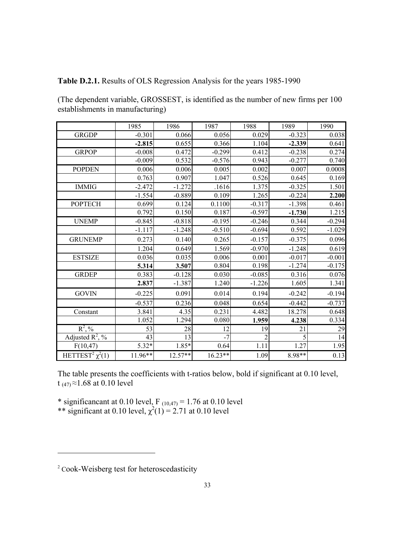**Table D.2.1.** Results of OLS Regression Analysis for the years 1985-1990

(The dependent variable, GROSSEST, is identified as the number of new firms per 100 establishments in manufacturing)

|                                  | 1985     | 1986     | 1987      | 1988     | 1989     | 1990     |
|----------------------------------|----------|----------|-----------|----------|----------|----------|
| <b>GRGDP</b>                     | $-0.301$ | 0.066    | 0.056     | 0.029    | $-0.323$ | 0.038    |
|                                  | $-2.815$ | 0.655    | 0.366     | 1.104    | $-2.339$ | 0.641    |
| <b>GRPOP</b>                     | $-0.008$ | 0.472    | $-0.299$  | 0.412    | $-0.238$ | 0.274    |
|                                  | $-0.009$ | 0.532    | $-0.576$  | 0.943    | $-0.277$ | 0.740    |
| <b>POPDEN</b>                    | 0.006    | 0.006    | 0.005     | 0.002    | 0.007    | 0.0008   |
|                                  | 0.763    | 0.907    | 1.047     | 0.526    | 0.645    | 0.169    |
| <b>IMMIG</b>                     | $-2.472$ | $-1.272$ | .1616     | 1.375    | $-0.325$ | 1.501    |
|                                  | $-1.554$ | $-0.889$ | 0.109     | 1.265    | $-0.224$ | 2.200    |
| <b>POPTECH</b>                   | 0.699    | 0.124    | 0.1100    | $-0.317$ | $-1.398$ | 0.461    |
|                                  | 0.792    | 0.150    | 0.187     | $-0.597$ | $-1.730$ | 1.215    |
| <b>UNEMP</b>                     | $-0.845$ | $-0.818$ | $-0.195$  | $-0.246$ | 0.344    | $-0.294$ |
|                                  | $-1.117$ | $-1.248$ | $-0.510$  | $-0.694$ | 0.592    | $-1.029$ |
| <b>GRUNEMP</b>                   | 0.273    | 0.140    | 0.265     | $-0.157$ | $-0.375$ | 0.096    |
|                                  | 1.204    | 0.649    | 1.569     | $-0.970$ | $-1.248$ | 0.619    |
| <b>ESTSIZE</b>                   | 0.036    | 0.035    | 0.006     | 0.001    | $-0.017$ | $-0.001$ |
|                                  | 5.314    | 3.507    | 0.804     | 0.198    | $-1.274$ | $-0.175$ |
| <b>GRDEP</b>                     | 0.383    | $-0.128$ | 0.030     | $-0.085$ | 0.316    | 0.076    |
|                                  | 2.837    | $-1.387$ | 1.240     | $-1.226$ | 1.605    | 1.341    |
| <b>GOVIN</b>                     | $-0.225$ | 0.091    | 0.014     | 0.194    | $-0.242$ | $-0.194$ |
|                                  | $-0.537$ | 0.236    | 0.048     | 0.654    | $-0.442$ | $-0.737$ |
| Constant                         | 3.841    | 4.35     | 0.231     | 4.482    | 18.278   | 0.648    |
|                                  | 1.052    | 1.294    | 0.080     | 1.959    | 4.238    | 0.334    |
| $R^2, \%$                        | 53       | 28       | 12        | 19       | 21       | 29       |
| Adjusted $\mathbb{R}^2$ , %      | 43       | 13       | $-7$      | 2        | 5        | 14       |
| F(10, 47)                        | $5.32*$  | 1.85*    | 0.64      | 1.11     | 1.27     | 1.95     |
| HETTEST <sup>2</sup> $\chi^2(1)$ | 11.96**  | 12.57**  | $16.23**$ | 1.09     | 8.98**   | 0.13     |

The table presents the coefficients with t-ratios below, bold if significant at 0.10 level, t  $_{(47)} \approx 1.68$  at 0.10 level

\* significancant at 0.10 level,  $F_{(10,47)} = 1.76$  at 0.10 level \*\* significant at 0.10 level,  $\chi^2(1) = 2.71$  at 0.10 level

-

<sup>&</sup>lt;sup>2</sup> Cook-Weisberg test for heteroscedasticity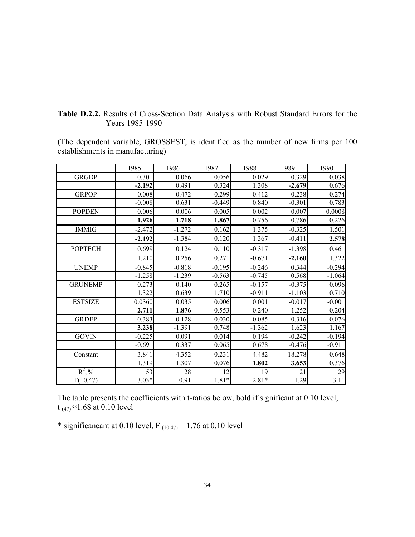|  | Table D.2.2. Results of Cross-Section Data Analysis with Robust Standard Errors for the |  |  |  |  |
|--|-----------------------------------------------------------------------------------------|--|--|--|--|
|  | Years 1985-1990                                                                         |  |  |  |  |

(The dependent variable, GROSSEST, is identified as the number of new firms per 100 establishments in manufacturing)

|                | 1985     | 1986     | 1987     | 1988     | 1989     | 1990     |
|----------------|----------|----------|----------|----------|----------|----------|
| <b>GRGDP</b>   | $-0.301$ | 0.066    | 0.056    | 0.029    | $-0.329$ | 0.038    |
|                | $-2.192$ | 0.491    | 0.324    | 1.308    | $-2.679$ | 0.676    |
| <b>GRPOP</b>   | $-0.008$ | 0.472    | $-0.299$ | 0.412    | $-0.238$ | 0.274    |
|                | $-0.008$ | 0.631    | $-0.449$ | 0.840    | $-0.301$ | 0.783    |
| <b>POPDEN</b>  | 0.006    | 0.006    | 0.005    | 0.002    | 0.007    | 0.0008   |
|                | 1.926    | 1.718    | 1.867    | 0.756    | 0.786    | 0.226    |
| <b>IMMIG</b>   | $-2.472$ | $-1.272$ | 0.162    | 1.375    | $-0.325$ | 1.501    |
|                | $-2.192$ | $-1.384$ | 0.120    | 1.367    | $-0.411$ | 2.578    |
| <b>POPTECH</b> | 0.699    | 0.124    | 0.110    | $-0.317$ | $-1.398$ | 0.461    |
|                | 1.210    | 0.256    | 0.271    | $-0.671$ | $-2.160$ | 1.322    |
| <b>UNEMP</b>   | $-0.845$ | $-0.818$ | $-0.195$ | $-0.246$ | 0.344    | $-0.294$ |
|                | $-1.258$ | $-1.239$ | $-0.563$ | $-0.745$ | 0.568    | $-1.064$ |
| <b>GRUNEMP</b> | 0.273    | 0.140    | 0.265    | $-0.157$ | $-0.375$ | 0.096    |
|                | 1.322    | 0.639    | 1.710    | $-0.911$ | $-1.103$ | 0.710    |
| <b>ESTSIZE</b> | 0.0360   | 0.035    | 0.006    | 0.001    | $-0.017$ | $-0.001$ |
|                | 2.711    | 1.876    | 0.553    | 0.240    | $-1.252$ | $-0.204$ |
| <b>GRDEP</b>   | 0.383    | $-0.128$ | 0.030    | $-0.085$ | 0.316    | 0.076    |
|                | 3.238    | $-1.391$ | 0.748    | $-1.362$ | 1.623    | 1.167    |
| <b>GOVIN</b>   | $-0.225$ | 0.091    | 0.014    | 0.194    | $-0.242$ | $-0.194$ |
|                | $-0.691$ | 0.337    | 0.065    | 0.678    | $-0.476$ | $-0.911$ |
| Constant       | 3.841    | 4.352    | 0.231    | 4.482    | 18.278   | 0.648    |
|                | 1.319    | 1.307    | 0.076    | 1.802    | 3.653    | 0.376    |
| $R^2, \%$      | 53       | 28       | 12       | 19       | 21       | 29       |
| F(10, 47)      | $3.03*$  | 0.91     | $1.81*$  | $2.81*$  | 1.29     | 3.11     |

The table presents the coefficients with t-ratios below, bold if significant at 0.10 level, t (47)  $\approx$  1.68 at 0.10 level

\* significancant at 0.10 level,  $F_{(10,47)} = 1.76$  at 0.10 level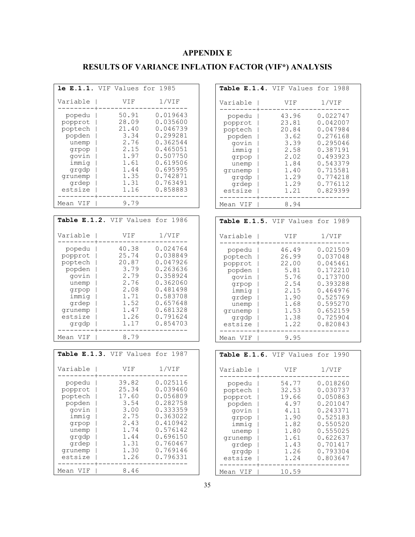### **APPENDIX E**

## **RESULTS OF VARIANCE INFLATION FACTOR (VIF\*) ANALYSIS**

|                                                                                                                    | le E.1.1. VIF Values for                                                                        | 1985                                                                                                                                         |
|--------------------------------------------------------------------------------------------------------------------|-------------------------------------------------------------------------------------------------|----------------------------------------------------------------------------------------------------------------------------------------------|
| Variable                                                                                                           | VIF<br>I                                                                                        | $1$ /VIF                                                                                                                                     |
| popedu<br>popprot<br>poptech<br>popden<br>unemp<br>grpop<br>govin<br>immig<br>grgdp<br>grunemp<br>grdep<br>estsize | 50.91<br>28.09<br>21.40<br>3.34<br>2.76<br>2.15<br>1.97<br>1.61<br>1.44<br>1.35<br>1.31<br>1.16 | 0.019643<br>0.035600<br>0.046739<br>0.299281<br>0.362544<br>0.465051<br>0.507750<br>0.619506<br>0.695995<br>0.742871<br>0.763491<br>0.858883 |
| VIF<br>Mean                                                                                                        | 9.79                                                                                            |                                                                                                                                              |
|                                                                                                                    |                                                                                                 |                                                                                                                                              |
|                                                                                                                    | Table E.1.2. VIF Values                                                                         | for 1986                                                                                                                                     |
|                                                                                                                    |                                                                                                 |                                                                                                                                              |
| Variable                                                                                                           | VIF<br>I                                                                                        | $1$ /VIF                                                                                                                                     |
| popedu<br>popprot<br>poptech<br>popden<br>govin<br>unemp<br>grpop<br>immiq<br>grdep<br>grunemp<br>estsize<br>grgdp | 40.38<br>25.74<br>20.87<br>3.79<br>2.79<br>2.76<br>2.08<br>1.71<br>1.52<br>1.47<br>1.26<br>1.17 | 0.024764<br>0.038849<br>0.047926<br>0.263636<br>0.358924<br>0.362060<br>0.481498<br>0.583708<br>0.657648<br>0.681328<br>0.791624<br>0.854703 |
| Mean VIF                                                                                                           | 8.79                                                                                            |                                                                                                                                              |

| Variable                                                                                                           | VIF                                                                                             | 1/VIF                                                                                                                                        |
|--------------------------------------------------------------------------------------------------------------------|-------------------------------------------------------------------------------------------------|----------------------------------------------------------------------------------------------------------------------------------------------|
| popedu<br>popprot<br>poptech<br>popden<br>govin<br>immiq<br>qrpop<br>unemp<br>grgdp<br>grdep<br>qrunemp<br>estsize | 39.82<br>25.34<br>17.60<br>3.54<br>3.00<br>2.75<br>2.43<br>1.74<br>1.44<br>1.31<br>1.30<br>1.26 | 0.025116<br>0.039460<br>0.056809<br>0.282758<br>0.333359<br>0.363022<br>0.410942<br>0.576142<br>0.696150<br>0.760467<br>0.769146<br>0.796331 |
| Mean VIF                                                                                                           | 8.46                                                                                            |                                                                                                                                              |

| Table E.1.4. VIF Values for 1988                                                                                                     |                                                                                                     |                                                                                                                                              |
|--------------------------------------------------------------------------------------------------------------------------------------|-----------------------------------------------------------------------------------------------------|----------------------------------------------------------------------------------------------------------------------------------------------|
| Variable                                                                                                                             | VIF                                                                                                 | 1/VIF                                                                                                                                        |
| popedu<br>popprot<br>I<br>poptech<br>popden<br>govin<br>immig<br>grpop<br>unemp<br>grunemp<br>grgdp<br>grdep<br>estsize              | 43.96<br>23.81<br>20.84<br>3.62<br>3.39<br>2.58<br>2.02<br>1.84<br>1.40<br>1.29<br>1.29<br>1.21     | 0.022747<br>0.042007<br>0.047984<br>0.276168<br>0.295046<br>0.387191<br>0.493923<br>0.543379<br>0.715581<br>0.774218<br>0.776112<br>0.829399 |
| Mean VIF                                                                                                                             | 8.94                                                                                                |                                                                                                                                              |
| Table E.1.5. VIF Values for 1989                                                                                                     |                                                                                                     |                                                                                                                                              |
| Variable                                                                                                                             | VIF                                                                                                 | 1/VIF                                                                                                                                        |
| popedu<br>poptech<br>$\overline{1}$<br>popprot<br>popden<br>govin<br>grpop<br>immig<br>grdep<br>unemp<br>grunemp<br>grgdp<br>estsize | 46.49<br>26.99<br>22.00<br>5.81<br>5.76<br>2.54<br>2.15<br>1.90<br>1.68<br>1.53<br>1.38<br>1.22     | 0.021509<br>0.037048<br>0.045461<br>0.172210<br>0.173700<br>0.393288<br>0.464976<br>0.525769<br>0.595270<br>0.652159<br>0.725904<br>0.820843 |
| Mean VIF                                                                                                                             | 9.95                                                                                                |                                                                                                                                              |
| Table E.1.6. VIF Values for 1990                                                                                                     |                                                                                                     |                                                                                                                                              |
| Variable                                                                                                                             | VIF                                                                                                 | 1/VIF                                                                                                                                        |
| popedu<br>poptech<br>popprot<br>popden<br>govin<br>grpop<br>immig<br>unemp<br>qrunemp<br>grdep<br>grgdp<br>estsize                   | 54.<br>77<br>32.53<br>19.66<br>4.97<br>4.11<br>1.90<br>1.82<br>1.80<br>1.61<br>1.43<br>1.26<br>1.24 | 0.018260<br>0.030737<br>0.050863<br>0.201047<br>0.243371<br>0.525183<br>0.550520<br>0.555025<br>0.622637<br>0.701417<br>0.793304<br>0.803647 |
| Mean VIF                                                                                                                             | 10.59                                                                                               |                                                                                                                                              |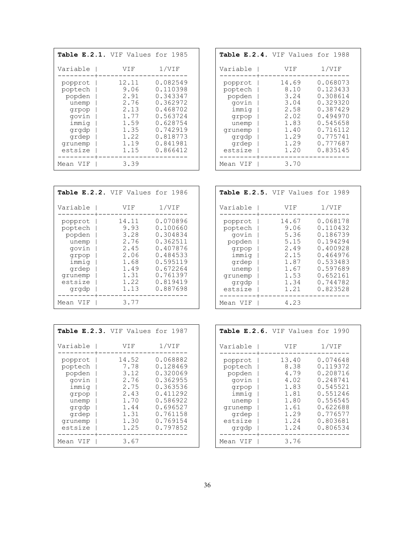| Table E.2.1. VIF Values for 1985                                                                         |                                                                                       |                                                                                                                                  |
|----------------------------------------------------------------------------------------------------------|---------------------------------------------------------------------------------------|----------------------------------------------------------------------------------------------------------------------------------|
| Variable                                                                                                 | VIF                                                                                   | 1/VIF                                                                                                                            |
| popprot<br>poptech<br>popden<br>unemp<br>qrpop<br>govin<br>immiq<br>grgdp<br>grdep<br>qrunemp<br>estsize | 12.11<br>9.06<br>2.91<br>2.76<br>2.13<br>1.77<br>1.59<br>1.35<br>1.22<br>1.19<br>1.15 | 0.082549<br>0.110398<br>0.343347<br>0.362972<br>0.468702<br>0.563724<br>0.628754<br>0.742919<br>0.818773<br>0.841981<br>0.866412 |
| Mean VIF                                                                                                 | 3.39                                                                                  |                                                                                                                                  |

| Table E.2.4. VIF Values for 1988                                                                         |                                                                                       |                                                                                                                                  |
|----------------------------------------------------------------------------------------------------------|---------------------------------------------------------------------------------------|----------------------------------------------------------------------------------------------------------------------------------|
| Variable                                                                                                 | VIF                                                                                   | 1/VIF                                                                                                                            |
| popprot<br>poptech<br>popden<br>govin<br>immiq<br>grpop<br>unemp<br>qrunemp<br>grgdp<br>grdep<br>estsize | 14.69<br>8.10<br>3.24<br>3.04<br>2.58<br>2.02<br>1.83<br>1.40<br>1.29<br>1.29<br>1.20 | 0.068073<br>0.123433<br>0.308614<br>0.329320<br>0.387429<br>0.494970<br>0.545658<br>0.716112<br>0.775741<br>0.777687<br>0.835145 |
| Mean VIF                                                                                                 | 3.70                                                                                  |                                                                                                                                  |

| Table E.2.2. VIF Values for 1986                                                                         |                                                                                       |                                                                                                                                  |
|----------------------------------------------------------------------------------------------------------|---------------------------------------------------------------------------------------|----------------------------------------------------------------------------------------------------------------------------------|
| Variable                                                                                                 | VIF                                                                                   | 1/VIF                                                                                                                            |
| popprot<br>poptech<br>popden<br>unemp<br>govin<br>grpop<br>immiq<br>grdep<br>grunemp<br>estsize<br>grgdp | 14.11<br>9.93<br>3.28<br>2.76<br>2.45<br>2.06<br>1.68<br>1.49<br>1.31<br>1.22<br>1.13 | 0.070896<br>0.100660<br>0.304834<br>0.362511<br>0.407876<br>0.484533<br>0.595119<br>0.672264<br>0.761397<br>0.819419<br>0.887698 |
| Mean VIF                                                                                                 | 3.77                                                                                  |                                                                                                                                  |

| Table E.2.3. VIF Values for 1987                                                                         |                                                                                       |                                                                                                                                  |
|----------------------------------------------------------------------------------------------------------|---------------------------------------------------------------------------------------|----------------------------------------------------------------------------------------------------------------------------------|
| Variable                                                                                                 | VIF                                                                                   | $1/\text{VIF}$                                                                                                                   |
| popprot<br>poptech<br>popden<br>govin<br>immiq<br>grpop<br>unemp<br>grgdp<br>grdep<br>qrunemp<br>estsize | 14.52<br>7.78<br>3.12<br>2.76<br>2.75<br>2.43<br>1.70<br>1.44<br>1.31<br>1.30<br>1.25 | 0.068882<br>0.128469<br>0.320069<br>0.362955<br>0.363536<br>0.411292<br>0.586922<br>0.696527<br>0.761158<br>0.769154<br>0.797852 |
| Mean VIF                                                                                                 | 3.67                                                                                  |                                                                                                                                  |

| Variable                                                                                                 | VIF                                                                                   | 1/VIF                                                                                                                            |
|----------------------------------------------------------------------------------------------------------|---------------------------------------------------------------------------------------|----------------------------------------------------------------------------------------------------------------------------------|
| popprot<br>poptech<br>govin<br>popden<br>grpop<br>immiq<br>grdep<br>unemp<br>qrunemp<br>grgdp<br>estsize | 14.67<br>9.06<br>5.36<br>5.15<br>2.49<br>2.15<br>1.87<br>1.67<br>1.53<br>1.34<br>1.21 | 0.068178<br>0.110432<br>0.186739<br>0.194294<br>0.400928<br>0.464976<br>0.533483<br>0.597689<br>0.652161<br>0.744782<br>0.823528 |
| Mean VIF                                                                                                 | 4.23                                                                                  |                                                                                                                                  |

**Table E.2.5.** VIF Values for 1989

| Table E.2.6. VIF Values for 1990                                                                         |                                                                                       |                                                                                                                                  |
|----------------------------------------------------------------------------------------------------------|---------------------------------------------------------------------------------------|----------------------------------------------------------------------------------------------------------------------------------|
| Variable                                                                                                 | VIF                                                                                   | 1/VIF                                                                                                                            |
| popprot<br>poptech<br>popden<br>govin<br>qrpop<br>immig<br>unemp<br>grunemp<br>grdep<br>estsize<br>grgdp | 13.40<br>8.38<br>4.79<br>4.02<br>1.83<br>1.81<br>1.80<br>1.61<br>1.29<br>1.24<br>1.24 | 0.074648<br>0.119372<br>0.208716<br>0.248741<br>0.545521<br>0.551246<br>0.556545<br>0.622688<br>0.776577<br>0.803681<br>0.806534 |
| Mean VIF                                                                                                 | 3.76                                                                                  |                                                                                                                                  |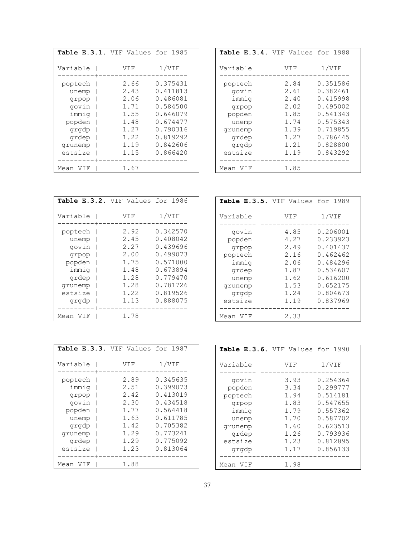| Table E.3.1. VIF Values for 1985                                        |                                                              |                                                                                              |
|-------------------------------------------------------------------------|--------------------------------------------------------------|----------------------------------------------------------------------------------------------|
| Variable                                                                | VIF                                                          | 1/VIF                                                                                        |
| poptech<br>unemp<br>qrpop<br>govin<br>immiq<br>popden<br>grgdp<br>grdep | 2.66<br>2.43<br>2.06<br>1.71<br>1.55<br>1.48<br>1.27<br>1.22 | 0.375431<br>0.411813<br>0.486081<br>0.584500<br>0.646079<br>0.674477<br>0.790316<br>0.819292 |
| qrunemp<br>estsize                                                      | 1.19<br>1.15                                                 | 0.842606<br>0.866420                                                                         |
| Mean VIF                                                                | 1.67                                                         |                                                                                              |

| Table E.3.4. VIF Values for 1988                                                   |                                                                      |                                                                                                          |
|------------------------------------------------------------------------------------|----------------------------------------------------------------------|----------------------------------------------------------------------------------------------------------|
| Variable                                                                           | VIF                                                                  | 1/VIF                                                                                                    |
| poptech<br>govin<br>immiq<br>grpop<br>popden<br>unemp<br>grunemp<br>grdep<br>grgdp | 2.84<br>2.61<br>2.40<br>2.02<br>1.85<br>1.74<br>1.39<br>1.27<br>1.21 | 0.351586<br>0.382461<br>0.415998<br>0.495002<br>0.541343<br>0.575343<br>0.719855<br>0.786445<br>0.828800 |
| estsize                                                                            | 1.19                                                                 | 0.843292                                                                                                 |
| Mean VIF                                                                           | 1.85                                                                 |                                                                                                          |

| Table E.3.2. VIF Values for 1986 |      |                |
|----------------------------------|------|----------------|
| Variable                         | VIF  | $1/\text{VIF}$ |
| poptech                          | 2.92 | 0.342570       |
| unemp                            | 2.45 | 0.408042       |
| govin                            | 2.27 | 0.439696       |
| grpop                            | 2.00 | 0.499073       |
| popden                           | 1.75 | 0.571000       |
| immiq                            | 1.48 | 0.673894       |
| grdep                            | 1.28 | 0.779470       |
| grunemp                          | 1.28 | 0.781726       |
| estsize                          | 1.22 | 0.819526       |
| grgdp                            | 1.13 | 0.888075       |
| Mean VIF                         | 1.78 |                |

| Table E.3.5. VIF Values for 1989                                                              |                                                                              |                                                                                                                      |
|-----------------------------------------------------------------------------------------------|------------------------------------------------------------------------------|----------------------------------------------------------------------------------------------------------------------|
| Variable                                                                                      | VIF                                                                          | 1/VIF                                                                                                                |
| govin<br>popden<br>grpop<br>poptech<br>immiq<br>grdep<br>unemp<br>qrunemp<br>grgdp<br>estsize | 4.85<br>4.27<br>2.49<br>2.16<br>2.06<br>1.87<br>1.62<br>1.53<br>1.24<br>1.19 | 0.206001<br>0.233923<br>0.401437<br>0.462462<br>0.484296<br>0.534607<br>0.616200<br>0.652175<br>0.804673<br>0.837969 |
| Mean VIF                                                                                      | 2.33                                                                         |                                                                                                                      |

| Table E.3.3. VIF Values for 1987     |                              |                                              |
|--------------------------------------|------------------------------|----------------------------------------------|
| Variable                             | VIF                          | 1/VIF                                        |
| poptech<br>immiq<br>grpop            | 2.89<br>2.51<br>2.42         | 0.345635<br>0.399073<br>0.413019             |
| govin<br>popden<br>unemp             | 2.30<br>1.77<br>1.63<br>1.42 | 0.434518<br>0.564418<br>0.611785<br>0.705382 |
| grgdp<br>grunemp<br>grdep<br>estsize | 1.29<br>1.29<br>1.23         | 0.773241<br>0.775092<br>0.813064             |
| Mean VIF                             | 1.88                         |                                              |

| Table E.3.6. VIF Values for 1990              |                                              |                                                                      |
|-----------------------------------------------|----------------------------------------------|----------------------------------------------------------------------|
| Variable                                      | VIF                                          | 1/VIF                                                                |
| govin<br>popden<br>poptech<br>grpop<br>immiq  | 3.93<br>3.34<br>1.94<br>1.83<br>1.79<br>1.70 | 0.254364<br>0.299777<br>0.514181<br>0.547655<br>0.557362<br>0.587702 |
| unemp<br>grunemp<br>grdep<br>estsize<br>grgdp | 1.60<br>1.26<br>1.23<br>1.17                 | 0.623513<br>0.793936<br>0.812895<br>0.856133                         |
| Mean VIF                                      | 1.98                                         |                                                                      |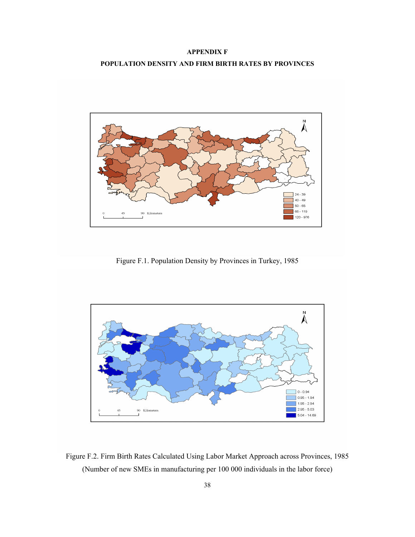### **APPENDIX F POPULATION DENSITY AND FIRM BIRTH RATES BY PROVINCES**



Figure F.1. Population Density by Provinces in Turkey, 1985



Figure F.2. Firm Birth Rates Calculated Using Labor Market Approach across Provinces, 1985 (Number of new SMEs in manufacturing per 100 000 individuals in the labor force)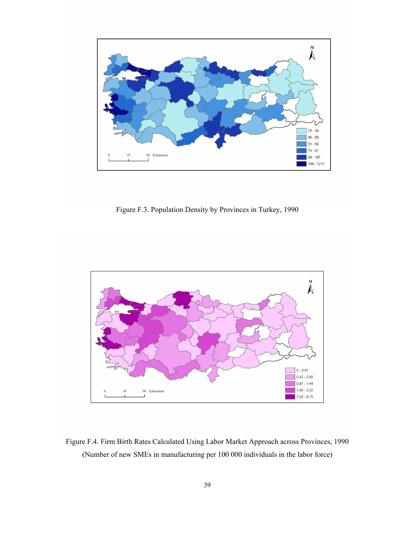

Figure F.3. Population Density by Provinces in Turkey, 1990



Figure F.4. Firm Birth Rates Calculated Using Labor Market Approach across Provinces, 1990 (Number of new SMEs in manufacturing per 100 000 individuals in the labor force)